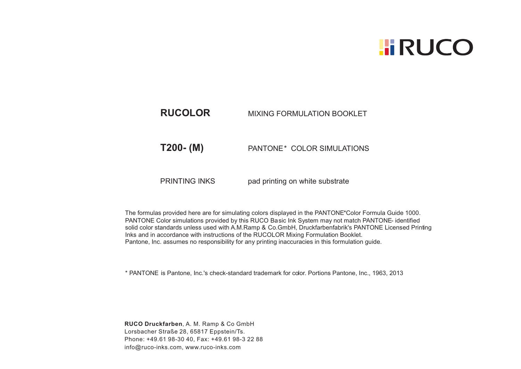## **HIRUCO**

## **RUCOLOR** MIXING FORMULATION BOOKLET

**T200- (M)** PANTONE\* COLOR SIMULATIONS

PRINTING INKS pad printing on white substrate

The formulas provided here are for simulating colors displayed in the PANTONE\*Color Formula Guide 1000. PANTONE Color simulations provided by this RUCO Basic Ink System may not match PANTONE- identified solid color standards unless used with A.M.Ramp & Co.GmbH, Druckfarbenfabrik's PANTONE Licensed Printing Inks and in accordance with instructions of the RUCOLOR Mixing Formulation Booklet. Pantone, Inc. assumes no responsibility for any printing inaccuracies in this formulation guide.

\* PANTONE is Pantone, Inc.'s check-standard trademark for color. Portions Pantone, Inc., 1963, 2013

**RUCO Druckfarben**, A. M. Ramp & Co GmbH Lorsbacher Straße 28, 65817 Eppstein/Ts. Phone: +49.61 98-30 40, Fax: +49.61 98-3 22 88 info@ruco-inks.com, www.ruco-inks.com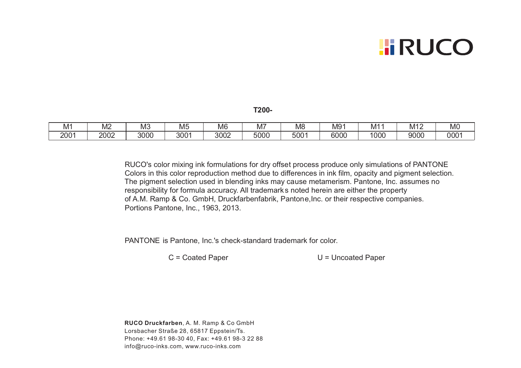## **HIRUCO**

**T200-**

| M'            | ۸ſ<br>∣∨≀∠ | $\overline{\phantom{a}}$<br>NIک | --<br>Mt      | M <sub>6</sub> | IΜ,  | M8               | M9 <sup>4</sup> | M1'  | M12  | $\sim$<br><b>MO</b> |
|---------------|------------|---------------------------------|---------------|----------------|------|------------------|-----------------|------|------|---------------------|
| $200^{\circ}$ | 2002       | 3000                            | $300^{\circ}$ | ∩∩∩<br>ຽ∪∪∠    | 5000 | 500 <sub>1</sub> | 6000            | 1000 | 9000 | 0001                |

RUCO's color mixing ink formulations for dry offset process produce only simulations of PANTONE Colors in this color reproduction method due to differences in ink film, opacity and pigment selection. The pigment selection used in blending inks may cause metamerism. Pantone, Inc. assumes no responsibility for formula accuracy. All trademark s noted herein are either the property of A.M. Ramp & Co. GmbH, Druckfarbenfabrik, Pantone,Inc. or their respective companies. Portions Pantone, Inc., 1963, 2013.

PANTONE is Pantone, Inc.'s check-standard trademark for color.

C = Coated Paper U = Uncoated Paper

**RUCO Druckfarben**, A. M. Ramp & Co GmbH Phone: +49.61 98-30 40, Fax: +49.61 98-3 22 88 Lorsbacher Straße 28, 65817 Eppstein/Ts. info@ruco-inks.com, www.ruco-inks.com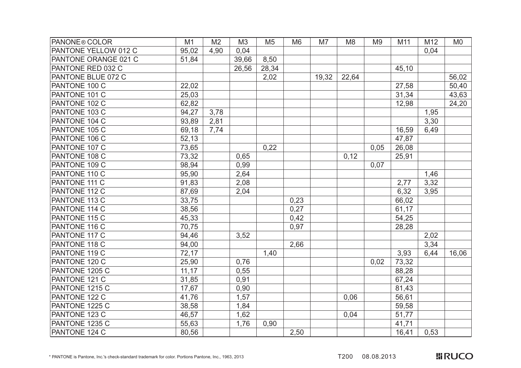| PANONE <sup>®</sup> COLOR | M1     | M <sub>2</sub> | M <sub>3</sub> | M <sub>5</sub> | M <sub>6</sub> | M7    | M <sub>8</sub> | M <sub>9</sub> | M11   | M12  | M <sub>0</sub> |
|---------------------------|--------|----------------|----------------|----------------|----------------|-------|----------------|----------------|-------|------|----------------|
| PANTONE YELLOW 012 C      | 95,02  | 4,90           | 0,04           |                |                |       |                |                |       | 0,04 |                |
| PANTONE ORANGE 021 C      | 51,84  |                | 39,66          | 8,50           |                |       |                |                |       |      |                |
| PANTONE RED 032 C         |        |                | 26,56          | 28,34          |                |       |                |                | 45,10 |      |                |
| PANTONE BLUE 072 C        |        |                |                | 2,02           |                | 19,32 | 22,64          |                |       |      | 56,02          |
| PANTONE 100 C             | 22,02  |                |                |                |                |       |                |                | 27,58 |      | 50,40          |
| PANTONE 101 C             | 25,03  |                |                |                |                |       |                |                | 31,34 |      | 43,63          |
| PANTONE 102 C             | 62,82  |                |                |                |                |       |                |                | 12,98 |      | 24,20          |
| PANTONE 103 C             | 94,27  | 3,78           |                |                |                |       |                |                |       | 1,95 |                |
| PANTONE 104 C             | 93,89  | 2,81           |                |                |                |       |                |                |       | 3,30 |                |
| PANTONE 105 C             | 69,18  | 7,74           |                |                |                |       |                |                | 16,59 | 6,49 |                |
| PANTONE 106 C             | 52,13  |                |                |                |                |       |                |                | 47,87 |      |                |
| PANTONE 107 C             | 73,65  |                |                | 0,22           |                |       |                | 0,05           | 26,08 |      |                |
| PANTONE 108 C             | 73,32  |                | 0,65           |                |                |       | 0,12           |                | 25,91 |      |                |
| PANTONE 109 C             | 98,94  |                | 0,99           |                |                |       |                | 0,07           |       |      |                |
| PANTONE 110 C             | 95,90  |                | 2,64           |                |                |       |                |                |       | 1,46 |                |
| PANTONE 111 C             | 91,83  |                | 2,08           |                |                |       |                |                | 2,77  | 3,32 |                |
| PANTONE 112 C             | 87,69  |                | 2,04           |                |                |       |                |                | 6,32  | 3,95 |                |
| PANTONE 113 C             | 33,75  |                |                |                | 0,23           |       |                |                | 66,02 |      |                |
| PANTONE 114 C             | 38,56  |                |                |                | 0,27           |       |                |                | 61,17 |      |                |
| PANTONE 115 C             | 45,33  |                |                |                | 0,42           |       |                |                | 54,25 |      |                |
| PANTONE 116 C             | 70,75  |                |                |                | 0,97           |       |                |                | 28,28 |      |                |
| PANTONE 117 C             | 94,46  |                | 3,52           |                |                |       |                |                |       | 2,02 |                |
| PANTONE 118 C             | 94,00  |                |                |                | 2,66           |       |                |                |       | 3,34 |                |
| PANTONE 119 C             | 72,17  |                |                | 1,40           |                |       |                |                | 3,93  | 6,44 | 16,06          |
| PANTONE 120 C             | 25,90  |                | 0,76           |                |                |       |                | 0,02           | 73,32 |      |                |
| PANTONE 1205 C            | 11, 17 |                | 0,55           |                |                |       |                |                | 88,28 |      |                |
| PANTONE 121 C             | 31,85  |                | 0,91           |                |                |       |                |                | 67,24 |      |                |
| PANTONE 1215 C            | 17,67  |                | 0,90           |                |                |       |                |                | 81,43 |      |                |
| PANTONE 122 C             | 41,76  |                | 1,57           |                |                |       | 0,06           |                | 56,61 |      |                |
| PANTONE 1225 C            | 38,58  |                | 1,84           |                |                |       |                |                | 59,58 |      |                |
| PANTONE 123 C             | 46,57  |                | 1,62           |                |                |       | 0,04           |                | 51,77 |      |                |
| PANTONE 1235 C            | 55,63  |                | 1,76           | 0,90           |                |       |                |                | 41,71 |      |                |
| PANTONE 124 C             | 80,56  |                |                |                | 2,50           |       |                |                | 16,41 | 0,53 |                |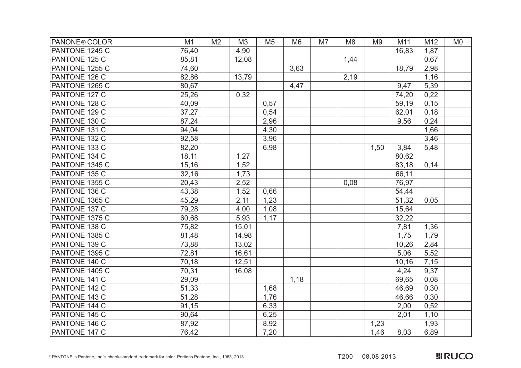| <b>PANONE® COLOR</b> | M1    | M <sub>2</sub> | M3    | M <sub>5</sub> | M <sub>6</sub> | M7 | M <sub>8</sub> | M <sub>9</sub> | M11   | M12  | M <sub>0</sub> |
|----------------------|-------|----------------|-------|----------------|----------------|----|----------------|----------------|-------|------|----------------|
| PANTONE 1245 C       | 76,40 |                | 4,90  |                |                |    |                |                | 16,83 | 1,87 |                |
| PANTONE 125 C        | 85,81 |                | 12,08 |                |                |    | 1,44           |                |       | 0,67 |                |
| PANTONE 1255 C       | 74,60 |                |       |                | 3,63           |    |                |                | 18,79 | 2,98 |                |
| PANTONE 126 C        | 82,86 |                | 13,79 |                |                |    | 2,19           |                |       | 1,16 |                |
| PANTONE 1265 C       | 80,67 |                |       |                | 4,47           |    |                |                | 9,47  | 5,39 |                |
| PANTONE 127 C        | 25,26 |                | 0,32  |                |                |    |                |                | 74,20 | 0,22 |                |
| PANTONE 128 C        | 40,09 |                |       | 0,57           |                |    |                |                | 59,19 | 0,15 |                |
| PANTONE 129 C        | 37,27 |                |       | 0,54           |                |    |                |                | 62,01 | 0,18 |                |
| PANTONE 130 C        | 87,24 |                |       | 2,96           |                |    |                |                | 9,56  | 0,24 |                |
| PANTONE 131 C        | 94,04 |                |       | 4,30           |                |    |                |                |       | 1,66 |                |
| PANTONE 132 C        | 92,58 |                |       | 3,96           |                |    |                |                |       | 3,46 |                |
| PANTONE 133 C        | 82,20 |                |       | 6,98           |                |    |                | 1,50           | 3,84  | 5,48 |                |
| PANTONE 134 C        | 18,11 |                | 1,27  |                |                |    |                |                | 80,62 |      |                |
| PANTONE 1345 C       | 15,16 |                | 1,52  |                |                |    |                |                | 83,18 | 0,14 |                |
| PANTONE 135 C        | 32,16 |                | 1,73  |                |                |    |                |                | 66,11 |      |                |
| PANTONE 1355 C       | 20,43 |                | 2,52  |                |                |    | 0,08           |                | 76,97 |      |                |
| PANTONE 136 C        | 43,38 |                | 1,52  | 0.66           |                |    |                |                | 54,44 |      |                |
| PANTONE 1365 C       | 45,29 |                | 2,11  | 1,23           |                |    |                |                | 51,32 | 0,05 |                |
| PANTONE 137 C        | 79,28 |                | 4,00  | 1,08           |                |    |                |                | 15,64 |      |                |
| PANTONE 1375 C       | 60,68 |                | 5,93  | 1,17           |                |    |                |                | 32,22 |      |                |
| PANTONE 138 C        | 75,82 |                | 15,01 |                |                |    |                |                | 7,81  | 1,36 |                |
| PANTONE 1385 C       | 81,48 |                | 14,98 |                |                |    |                |                | 1,75  | 1,79 |                |
| PANTONE 139 C        | 73,88 |                | 13,02 |                |                |    |                |                | 10,26 | 2,84 |                |
| PANTONE 1395 C       | 72,81 |                | 16,61 |                |                |    |                |                | 5,06  | 5,52 |                |
| PANTONE 140 C        | 70,18 |                | 12,51 |                |                |    |                |                | 10,16 | 7,15 |                |
| PANTONE 1405 C       | 70,31 |                | 16,08 |                |                |    |                |                | 4,24  | 9,37 |                |
| PANTONE 141 C        | 29,09 |                |       |                | 1,18           |    |                |                | 69,65 | 0,08 |                |
| PANTONE 142 C        | 51,33 |                |       | 1,68           |                |    |                |                | 46,69 | 0,30 |                |
| PANTONE 143 C        | 51,28 |                |       | 1,76           |                |    |                |                | 46,66 | 0,30 |                |
| PANTONE 144 C        | 91,15 |                |       | 6,33           |                |    |                |                | 2,00  | 0,52 |                |
| PANTONE 145 C        | 90,64 |                |       | 6,25           |                |    |                |                | 2,01  | 1,10 |                |
| PANTONE 146 C        | 87,92 |                |       | 8,92           |                |    |                | 1,23           |       | 1,93 |                |
| PANTONE 147 C        | 76,42 |                |       | 7,20           |                |    |                | 1,46           | 8,03  | 6,89 |                |

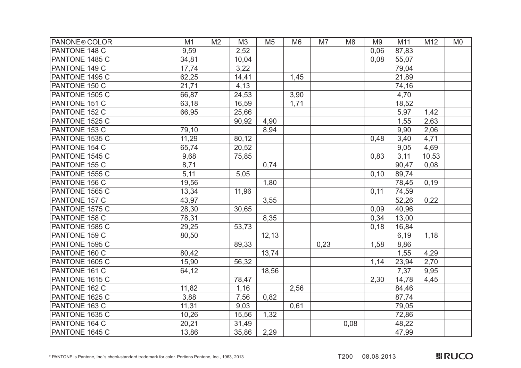| PANONE <sup>®</sup> COLOR | M1    | M <sub>2</sub> | M3    | M <sub>5</sub> | M <sub>6</sub> | M7   | M <sub>8</sub> | M <sub>9</sub> | M11   | M12   | M <sub>0</sub> |
|---------------------------|-------|----------------|-------|----------------|----------------|------|----------------|----------------|-------|-------|----------------|
| PANTONE 148 C             | 9,59  |                | 2,52  |                |                |      |                | 0,06           | 87,83 |       |                |
| PANTONE 1485 C            | 34,81 |                | 10,04 |                |                |      |                | 0,08           | 55,07 |       |                |
| PANTONE 149 C             | 17,74 |                | 3,22  |                |                |      |                |                | 79,04 |       |                |
| PANTONE 1495 C            | 62,25 |                | 14,41 |                | 1,45           |      |                |                | 21,89 |       |                |
| PANTONE 150 C             | 21,71 |                | 4,13  |                |                |      |                |                | 74,16 |       |                |
| PANTONE 1505 C            | 66,87 |                | 24,53 |                | 3,90           |      |                |                | 4,70  |       |                |
| PANTONE 151 C             | 63,18 |                | 16,59 |                | 1,71           |      |                |                | 18,52 |       |                |
| PANTONE 152 C             | 66,95 |                | 25,66 |                |                |      |                |                | 5,97  | 1,42  |                |
| PANTONE 1525 C            |       |                | 90,92 | 4,90           |                |      |                |                | 1,55  | 2,63  |                |
| PANTONE 153 C             | 79,10 |                |       | 8,94           |                |      |                |                | 9,90  | 2,06  |                |
| PANTONE 1535 C            | 11,29 |                | 80,12 |                |                |      |                | 0,48           | 3,40  | 4,71  |                |
| PANTONE 154 C             | 65,74 |                | 20,52 |                |                |      |                |                | 9,05  | 4,69  |                |
| PANTONE 1545 C            | 9,68  |                | 75,85 |                |                |      |                | 0,83           | 3,11  | 10,53 |                |
| PANTONE 155 C             | 8,71  |                |       | 0,74           |                |      |                |                | 90,47 | 0,08  |                |
| PANTONE 1555 C            | 5,11  |                | 5,05  |                |                |      |                | 0,10           | 89,74 |       |                |
| PANTONE 156 C             | 19,56 |                |       | 1,80           |                |      |                |                | 78,45 | 0,19  |                |
| PANTONE 1565 C            | 13,34 |                | 11,96 |                |                |      |                | 0,11           | 74,59 |       |                |
| PANTONE 157 C             | 43,97 |                |       | 3,55           |                |      |                |                | 52,26 | 0,22  |                |
| PANTONE 1575 C            | 28,30 |                | 30,65 |                |                |      |                | 0,09           | 40,96 |       |                |
| PANTONE 158 C             | 78,31 |                |       | 8,35           |                |      |                | 0,34           | 13,00 |       |                |
| PANTONE 1585 C            | 29,25 |                | 53,73 |                |                |      |                | 0,18           | 16,84 |       |                |
| PANTONE 159 C             | 80,50 |                |       | 12, 13         |                |      |                |                | 6,19  | 1,18  |                |
| PANTONE 1595 C            |       |                | 89,33 |                |                | 0,23 |                | 1,58           | 8,86  |       |                |
| PANTONE 160 C             | 80,42 |                |       | 13,74          |                |      |                |                | 1,55  | 4,29  |                |
| PANTONE 1605 C            | 15,90 |                | 56,32 |                |                |      |                | 1,14           | 23,94 | 2,70  |                |
| PANTONE 161 C             | 64,12 |                |       | 18,56          |                |      |                |                | 7,37  | 9,95  |                |
| PANTONE 1615 C            |       |                | 78,47 |                |                |      |                | 2,30           | 14,78 | 4,45  |                |
| PANTONE 162 C             | 11,82 |                | 1,16  |                | 2,56           |      |                |                | 84,46 |       |                |
| PANTONE 1625 C            | 3,88  |                | 7,56  | 0,82           |                |      |                |                | 87,74 |       |                |
| PANTONE 163 C             | 11,31 |                | 9,03  |                | 0,61           |      |                |                | 79,05 |       |                |
| PANTONE 1635 C            | 10,26 |                | 15,56 | 1,32           |                |      |                |                | 72,86 |       |                |
| PANTONE 164 C             | 20,21 |                | 31,49 |                |                |      | 0,08           |                | 48,22 |       |                |
| PANTONE 1645 C            | 13,86 |                | 35,86 | 2,29           |                |      |                |                | 47,99 |       |                |

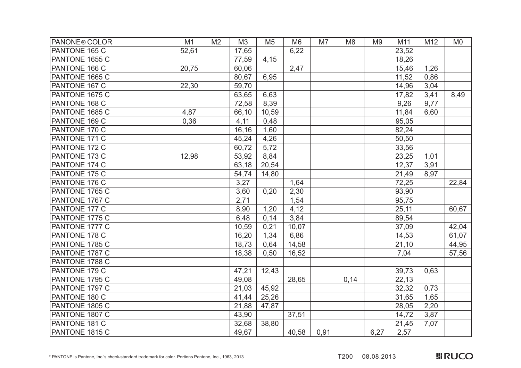| PANONE <sup>®</sup> COLOR | M1    | M <sub>2</sub> | M3    | M <sub>5</sub> | M <sub>6</sub> | M7   | M <sub>8</sub> | M <sub>9</sub> | M11   | M12  | M <sub>0</sub> |
|---------------------------|-------|----------------|-------|----------------|----------------|------|----------------|----------------|-------|------|----------------|
| PANTONE 165 C             | 52,61 |                | 17,65 |                | 6,22           |      |                |                | 23,52 |      |                |
| PANTONE 1655 C            |       |                | 77,59 | 4,15           |                |      |                |                | 18,26 |      |                |
| PANTONE 166 C             | 20,75 |                | 60,06 |                | 2,47           |      |                |                | 15,46 | 1,26 |                |
| PANTONE 1665 C            |       |                | 80,67 | 6,95           |                |      |                |                | 11,52 | 0,86 |                |
| PANTONE 167 C             | 22,30 |                | 59,70 |                |                |      |                |                | 14,96 | 3,04 |                |
| PANTONE 1675 C            |       |                | 63,65 | 6,63           |                |      |                |                | 17,82 | 3,41 | 8,49           |
| PANTONE 168 C             |       |                | 72,58 | 8,39           |                |      |                |                | 9,26  | 9,77 |                |
| PANTONE 1685 C            | 4,87  |                | 66,10 | 10,59          |                |      |                |                | 11,84 | 6,60 |                |
| PANTONE 169 C             | 0,36  |                | 4,11  | 0,48           |                |      |                |                | 95,05 |      |                |
| PANTONE 170 C             |       |                | 16,16 | 1,60           |                |      |                |                | 82,24 |      |                |
| PANTONE 171 C             |       |                | 45,24 | 4,26           |                |      |                |                | 50,50 |      |                |
| PANTONE 172 C             |       |                | 60,72 | 5,72           |                |      |                |                | 33,56 |      |                |
| PANTONE 173 C             | 12,98 |                | 53,92 | 8,84           |                |      |                |                | 23,25 | 1,01 |                |
| PANTONE 174 C             |       |                | 63,18 | 20,54          |                |      |                |                | 12,37 | 3,91 |                |
| PANTONE 175 C             |       |                | 54,74 | 14,80          |                |      |                |                | 21,49 | 8,97 |                |
| PANTONE 176 C             |       |                | 3,27  |                | 1,64           |      |                |                | 72,25 |      | 22,84          |
| PANTONE 1765 C            |       |                | 3,60  | 0,20           | 2,30           |      |                |                | 93,90 |      |                |
| PANTONE 1767 C            |       |                | 2,71  |                | 1,54           |      |                |                | 95,75 |      |                |
| PANTONE 177 C             |       |                | 8,90  | 1,20           | 4,12           |      |                |                | 25,11 |      | 60,67          |
| PANTONE 1775 C            |       |                | 6,48  | 0,14           | 3,84           |      |                |                | 89,54 |      |                |
| PANTONE 1777 C            |       |                | 10,59 | 0,21           | 10,07          |      |                |                | 37,09 |      | 42,04          |
| PANTONE 178 C             |       |                | 16,20 | 1,34           | 6,86           |      |                |                | 14,53 |      | 61,07          |
| PANTONE 1785 C            |       |                | 18,73 | 0,64           | 14,58          |      |                |                | 21,10 |      | 44,95          |
| PANTONE 1787 C            |       |                | 18,38 | 0,50           | 16,52          |      |                |                | 7,04  |      | 57,56          |
| PANTONE 1788 C            |       |                |       |                |                |      |                |                |       |      |                |
| PANTONE 179 C             |       |                | 47,21 | 12,43          |                |      |                |                | 39,73 | 0,63 |                |
| PANTONE 1795 C            |       |                | 49,08 |                | 28,65          |      | 0,14           |                | 22,13 |      |                |
| PANTONE 1797 C            |       |                | 21,03 | 45,92          |                |      |                |                | 32,32 | 0,73 |                |
| PANTONE 180 C             |       |                | 41,44 | 25,26          |                |      |                |                | 31,65 | 1,65 |                |
| PANTONE 1805 C            |       |                | 21,88 | 47,87          |                |      |                |                | 28,05 | 2,20 |                |
| PANTONE 1807 C            |       |                | 43,90 |                | 37,51          |      |                |                | 14,72 | 3,87 |                |
| PANTONE 181 C             |       |                | 32,68 | 38,80          |                |      |                |                | 21,45 | 7,07 |                |
| PANTONE 1815 C            |       |                | 49,67 |                | 40,58          | 0,91 |                | 6,27           | 2,57  |      |                |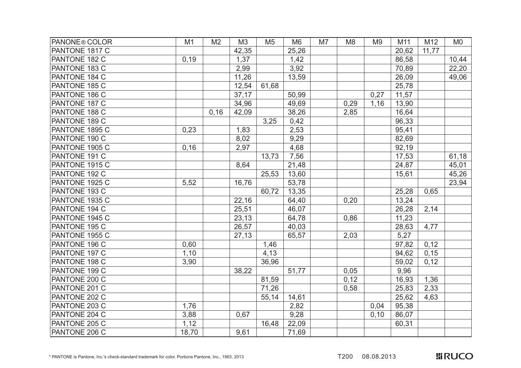| PANONE <sup>®</sup> COLOR | M1    | M <sub>2</sub> | M3    | M <sub>5</sub> | M <sub>6</sub> | M7 | M <sub>8</sub> | M <sub>9</sub> | M11   | M12   | M <sub>0</sub> |
|---------------------------|-------|----------------|-------|----------------|----------------|----|----------------|----------------|-------|-------|----------------|
| PANTONE 1817 C            |       |                | 42,35 |                | 25,26          |    |                |                | 20,62 | 11,77 |                |
| PANTONE 182 C             | 0,19  |                | 1,37  |                | 1,42           |    |                |                | 86,58 |       | 10,44          |
| PANTONE 183 C             |       |                | 2,99  |                | 3,92           |    |                |                | 70,89 |       | 22,20          |
| PANTONE 184 C             |       |                | 11,26 |                | 13,59          |    |                |                | 26,09 |       | 49,06          |
| PANTONE 185 C             |       |                | 12,54 | 61,68          |                |    |                |                | 25,78 |       |                |
| PANTONE 186 C             |       |                | 37,17 |                | 50,99          |    |                | 0,27           | 11,57 |       |                |
| PANTONE 187 C             |       |                | 34,96 |                | 49,69          |    | 0,29           | 1,16           | 13,90 |       |                |
| PANTONE 188 C             |       | 0,16           | 42,09 |                | 38,26          |    | 2,85           |                | 16,64 |       |                |
| PANTONE 189 C             |       |                |       | 3,25           | 0,42           |    |                |                | 96,33 |       |                |
| PANTONE 1895 C            | 0,23  |                | 1,83  |                | 2,53           |    |                |                | 95,41 |       |                |
| PANTONE 190 C             |       |                | 8,02  |                | 9,29           |    |                |                | 82,69 |       |                |
| PANTONE 1905 C            | 0,16  |                | 2,97  |                | 4,68           |    |                |                | 92,19 |       |                |
| PANTONE 191 C             |       |                |       | 13,73          | 7,56           |    |                |                | 17,53 |       | 61,18          |
| PANTONE 1915 C            |       |                | 8,64  |                | 21,48          |    |                |                | 24,87 |       | 45,01          |
| PANTONE 192 C             |       |                |       | 25,53          | 13,60          |    |                |                | 15,61 |       | 45,26          |
| PANTONE 1925 C            | 5,52  |                | 16,76 |                | 53,78          |    |                |                |       |       | 23,94          |
| PANTONE 193 C             |       |                |       | 60,72          | 13,35          |    |                |                | 25,28 | 0,65  |                |
| PANTONE 1935 C            |       |                | 22,16 |                | 64,40          |    | 0,20           |                | 13,24 |       |                |
| PANTONE 194 C             |       |                | 25,51 |                | 46,07          |    |                |                | 26,28 | 2,14  |                |
| PANTONE 1945 C            |       |                | 23,13 |                | 64,78          |    | 0,86           |                | 11,23 |       |                |
| PANTONE 195 C             |       |                | 26,57 |                | 40,03          |    |                |                | 28,63 | 4,77  |                |
| PANTONE 1955 C            |       |                | 27,13 |                | 65,57          |    | 2,03           |                | 5,27  |       |                |
| PANTONE 196 C             | 0,60  |                |       | 1,46           |                |    |                |                | 97,82 | 0,12  |                |
| PANTONE 197 C             | 1,10  |                |       | 4,13           |                |    |                |                | 94,62 | 0,15  |                |
| PANTONE 198 C             | 3,90  |                |       | 36,96          |                |    |                |                | 59,02 | 0,12  |                |
| PANTONE 199 C             |       |                | 38,22 |                | 51,77          |    | 0,05           |                | 9,96  |       |                |
| PANTONE 200 C             |       |                |       | 81,59          |                |    | 0,12           |                | 16,93 | 1,36  |                |
| PANTONE 201 C             |       |                |       | 71,26          |                |    | 0,58           |                | 25,83 | 2,33  |                |
| PANTONE 202 C             |       |                |       | 55,14          | 14,61          |    |                |                | 25,62 | 4,63  |                |
| PANTONE 203 C             | 1,76  |                |       |                | 2,82           |    |                | 0,04           | 95,38 |       |                |
| PANTONE 204 C             | 3,88  |                | 0,67  |                | 9,28           |    |                | 0,10           | 86,07 |       |                |
| PANTONE 205 C             | 1,12  |                |       | 16,48          | 22,09          |    |                |                | 60,31 |       |                |
| PANTONE 206 C             | 18,70 |                | 9,61  |                | 71,69          |    |                |                |       |       |                |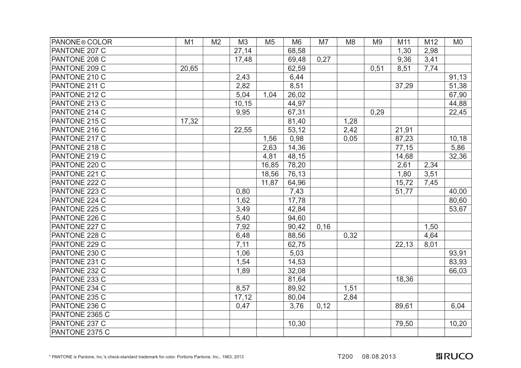| PANONE <sup>®</sup> COLOR | M1    | M <sub>2</sub> | M <sub>3</sub> | M <sub>5</sub> | M <sub>6</sub> | M7   | M <sub>8</sub> | M <sub>9</sub> | M11   | M12  | M <sub>0</sub> |
|---------------------------|-------|----------------|----------------|----------------|----------------|------|----------------|----------------|-------|------|----------------|
| PANTONE 207 C             |       |                | 27,14          |                | 68,58          |      |                |                | 1,30  | 2,98 |                |
| PANTONE 208 C             |       |                | 17,48          |                | 69,48          | 0,27 |                |                | 9,36  | 3,41 |                |
| PANTONE 209 C             | 20,65 |                |                |                | 62,59          |      |                | 0,51           | 8,51  | 7,74 |                |
| PANTONE 210 C             |       |                | 2,43           |                | 6,44           |      |                |                |       |      | 91,13          |
| PANTONE 211 C             |       |                | 2,82           |                | 8,51           |      |                |                | 37,29 |      | 51,38          |
| PANTONE 212 C             |       |                | 5,04           | 1,04           | 26,02          |      |                |                |       |      | 67,90          |
| PANTONE 213 C             |       |                | 10, 15         |                | 44,97          |      |                |                |       |      | 44,88          |
| PANTONE 214 C             |       |                | 9,95           |                | 67,31          |      |                | 0,29           |       |      | 22,45          |
| PANTONE 215 C             | 17,32 |                |                |                | 81,40          |      | 1,28           |                |       |      |                |
| PANTONE 216 C             |       |                | 22,55          |                | 53,12          |      | 2,42           |                | 21,91 |      |                |
| PANTONE 217 C             |       |                |                | 1,56           | 0,98           |      | 0,05           |                | 87,23 |      | 10,18          |
| PANTONE 218 C             |       |                |                | 2,63           | 14,36          |      |                |                | 77,15 |      | 5,86           |
| PANTONE 219 C             |       |                |                | 4,81           | 48,15          |      |                |                | 14,68 |      | 32,36          |
| PANTONE 220 C             |       |                |                | 16,85          | 78,20          |      |                |                | 2,61  | 2,34 |                |
| PANTONE 221 C             |       |                |                | 18,56          | 76,13          |      |                |                | 1,80  | 3,51 |                |
| PANTONE 222 C             |       |                |                | 11,87          | 64,96          |      |                |                | 15,72 | 7,45 |                |
| PANTONE 223 C             |       |                | 0,80           |                | 7,43           |      |                |                | 51,77 |      | 40,00          |
| PANTONE 224 C             |       |                | 1,62           |                | 17,78          |      |                |                |       |      | 80,60          |
| PANTONE 225 C             |       |                | 3,49           |                | 42,84          |      |                |                |       |      | 53,67          |
| PANTONE 226 C             |       |                | 5,40           |                | 94,60          |      |                |                |       |      |                |
| PANTONE 227 C             |       |                | 7,92           |                | 90,42          | 0,16 |                |                |       | 1,50 |                |
| PANTONE 228 C             |       |                | 6,48           |                | 88,56          |      | 0,32           |                |       | 4,64 |                |
| PANTONE 229 C             |       |                | 7,11           |                | 62,75          |      |                |                | 22,13 | 8,01 |                |
| PANTONE 230 C             |       |                | 1,06           |                | 5,03           |      |                |                |       |      | 93,91          |
| PANTONE 231 C             |       |                | 1,54           |                | 14,53          |      |                |                |       |      | 83,93          |
| PANTONE 232 C             |       |                | 1,89           |                | 32,08          |      |                |                |       |      | 66,03          |
| PANTONE 233 C             |       |                |                |                | 81,64          |      |                |                | 18,36 |      |                |
| PANTONE 234 C             |       |                | 8,57           |                | 89,92          |      | 1,51           |                |       |      |                |
| PANTONE 235 C             |       |                | 17, 12         |                | 80,04          |      | 2,84           |                |       |      |                |
| PANTONE 236 C             |       |                | 0,47           |                | 3,76           | 0,12 |                |                | 89,61 |      | 6,04           |
| PANTONE 2365 C            |       |                |                |                |                |      |                |                |       |      |                |
| PANTONE 237 C             |       |                |                |                | 10,30          |      |                |                | 79,50 |      | 10,20          |
| PANTONE 2375 C            |       |                |                |                |                |      |                |                |       |      |                |

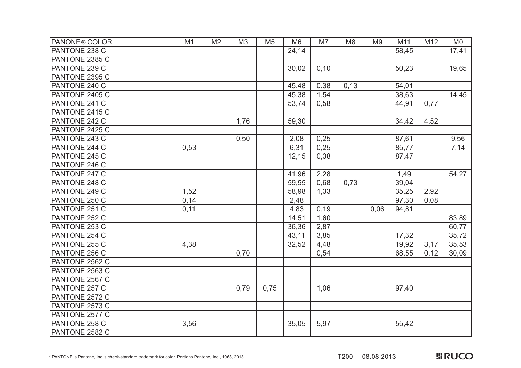| PANONE <sup>®</sup> COLOR | M1   | M <sub>2</sub> | M <sub>3</sub> | M <sub>5</sub> | M <sub>6</sub> | M7   | M <sub>8</sub> | M <sub>9</sub> | M11   | M12  | M <sub>0</sub> |
|---------------------------|------|----------------|----------------|----------------|----------------|------|----------------|----------------|-------|------|----------------|
| PANTONE 238 C             |      |                |                |                | 24,14          |      |                |                | 58,45 |      | 17,41          |
| PANTONE 2385 C            |      |                |                |                |                |      |                |                |       |      |                |
| PANTONE 239 C             |      |                |                |                | 30,02          | 0,10 |                |                | 50,23 |      | 19,65          |
| PANTONE 2395 C            |      |                |                |                |                |      |                |                |       |      |                |
| PANTONE 240 C             |      |                |                |                | 45,48          | 0,38 | 0,13           |                | 54,01 |      |                |
| PANTONE 2405 C            |      |                |                |                | 45,38          | 1,54 |                |                | 38,63 |      | 14,45          |
| PANTONE 241 C             |      |                |                |                | 53,74          | 0,58 |                |                | 44,91 | 0,77 |                |
| PANTONE 2415 C            |      |                |                |                |                |      |                |                |       |      |                |
| PANTONE 242 C             |      |                | 1,76           |                | 59,30          |      |                |                | 34,42 | 4,52 |                |
| PANTONE 2425 C            |      |                |                |                |                |      |                |                |       |      |                |
| PANTONE 243 C             |      |                | 0,50           |                | 2,08           | 0,25 |                |                | 87,61 |      | 9,56           |
| PANTONE 244 C             | 0,53 |                |                |                | 6,31           | 0,25 |                |                | 85,77 |      | 7,14           |
| PANTONE 245 C             |      |                |                |                | 12,15          | 0,38 |                |                | 87,47 |      |                |
| PANTONE 246 C             |      |                |                |                |                |      |                |                |       |      |                |
| PANTONE 247 C             |      |                |                |                | 41,96          | 2,28 |                |                | 1,49  |      | 54,27          |
| PANTONE 248 C             |      |                |                |                | 59,55          | 0,68 | 0,73           |                | 39,04 |      |                |
| PANTONE 249 C             | 1,52 |                |                |                | 58,98          | 1,33 |                |                | 35,25 | 2,92 |                |
| PANTONE 250 C             | 0,14 |                |                |                | 2,48           |      |                |                | 97,30 | 0,08 |                |
| PANTONE 251 C             | 0,11 |                |                |                | 4,83           | 0,19 |                | 0,06           | 94,81 |      |                |
| PANTONE 252 C             |      |                |                |                | 14,51          | 1,60 |                |                |       |      | 83,89          |
| PANTONE 253 C             |      |                |                |                | 36,36          | 2,87 |                |                |       |      | 60,77          |
| PANTONE 254 C             |      |                |                |                | 43,11          | 3,85 |                |                | 17,32 |      | 35,72          |
| PANTONE 255 C             | 4,38 |                |                |                | 32,52          | 4,48 |                |                | 19,92 | 3,17 | 35,53          |
| PANTONE 256 C             |      |                | 0,70           |                |                | 0,54 |                |                | 68,55 | 0,12 | 30,09          |
| PANTONE 2562 C            |      |                |                |                |                |      |                |                |       |      |                |
| PANTONE 2563 C            |      |                |                |                |                |      |                |                |       |      |                |
| PANTONE 2567 C            |      |                |                |                |                |      |                |                |       |      |                |
| PANTONE 257 C             |      |                | 0,79           | 0,75           |                | 1,06 |                |                | 97,40 |      |                |
| PANTONE 2572 C            |      |                |                |                |                |      |                |                |       |      |                |
| PANTONE 2573 C            |      |                |                |                |                |      |                |                |       |      |                |
| PANTONE 2577 C            |      |                |                |                |                |      |                |                |       |      |                |
| PANTONE 258 C             | 3,56 |                |                |                | 35,05          | 5,97 |                |                | 55,42 |      |                |
| PANTONE 2582 C            |      |                |                |                |                |      |                |                |       |      |                |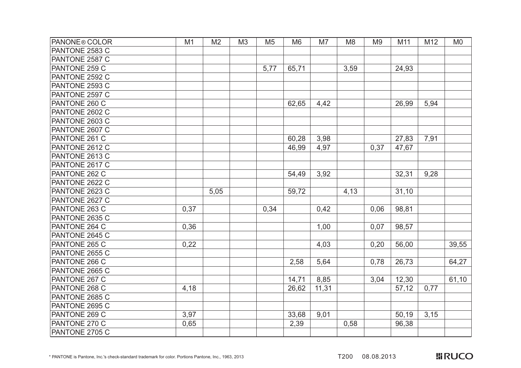| <b>PANONE® COLOR</b>  | M1   | M <sub>2</sub> | M <sub>3</sub> | M <sub>5</sub> | M <sub>6</sub> | M7    | M <sub>8</sub> | M <sub>9</sub> | M11   | M12  | M <sub>0</sub> |
|-----------------------|------|----------------|----------------|----------------|----------------|-------|----------------|----------------|-------|------|----------------|
| PANTONE 2583 C        |      |                |                |                |                |       |                |                |       |      |                |
| PANTONE 2587 C        |      |                |                |                |                |       |                |                |       |      |                |
| PANTONE 259 C         |      |                |                | 5,77           | 65,71          |       | 3,59           |                | 24,93 |      |                |
| PANTONE 2592 C        |      |                |                |                |                |       |                |                |       |      |                |
| PANTONE 2593 C        |      |                |                |                |                |       |                |                |       |      |                |
| PANTONE 2597 C        |      |                |                |                |                |       |                |                |       |      |                |
| PANTONE 260 C         |      |                |                |                | 62,65          | 4,42  |                |                | 26,99 | 5,94 |                |
| PANTONE 2602 C        |      |                |                |                |                |       |                |                |       |      |                |
| PANTONE 2603 C        |      |                |                |                |                |       |                |                |       |      |                |
| PANTONE 2607 C        |      |                |                |                |                |       |                |                |       |      |                |
| PANTONE 261 C         |      |                |                |                | 60,28          | 3,98  |                |                | 27,83 | 7,91 |                |
| PANTONE 2612 C        |      |                |                |                | 46,99          | 4,97  |                | 0,37           | 47,67 |      |                |
| PANTONE 2613 C        |      |                |                |                |                |       |                |                |       |      |                |
| PANTONE 2617 C        |      |                |                |                |                |       |                |                |       |      |                |
| PANTONE 262 C         |      |                |                |                | 54,49          | 3,92  |                |                | 32,31 | 9,28 |                |
| PANTONE 2622 C        |      |                |                |                |                |       |                |                |       |      |                |
| PANTONE 2623 C        |      | 5,05           |                |                | 59,72          |       | 4,13           |                | 31,10 |      |                |
| PANTONE 2627 C        |      |                |                |                |                |       |                |                |       |      |                |
| PANTONE 263 C         | 0,37 |                |                | 0,34           |                | 0,42  |                | 0,06           | 98,81 |      |                |
| PANTONE 2635 C        |      |                |                |                |                |       |                |                |       |      |                |
| PANTONE 264 C         | 0,36 |                |                |                |                | 1,00  |                | 0,07           | 98,57 |      |                |
| PANTONE 2645 C        |      |                |                |                |                |       |                |                |       |      |                |
| PANTONE 265 C         | 0,22 |                |                |                |                | 4,03  |                | 0,20           | 56,00 |      | 39,55          |
| PANTONE 2655 C        |      |                |                |                |                |       |                |                |       |      |                |
| PANTONE 266 C         |      |                |                |                | 2,58           | 5,64  |                | 0,78           | 26,73 |      | 64,27          |
| PANTONE 2665 C        |      |                |                |                |                |       |                |                |       |      |                |
| PANTONE 267 C         |      |                |                |                | 14,71          | 8,85  |                | 3,04           | 12,30 |      | 61,10          |
| <b>PANTONE 268 C</b>  | 4,18 |                |                |                | 26,62          | 11,31 |                |                | 57,12 | 0,77 |                |
| PANTONE 2685 C        |      |                |                |                |                |       |                |                |       |      |                |
| <b>PANTONE 2695 C</b> |      |                |                |                |                |       |                |                |       |      |                |
| PANTONE 269 C         | 3,97 |                |                |                | 33,68          | 9,01  |                |                | 50,19 | 3,15 |                |
| PANTONE 270 C         | 0,65 |                |                |                | 2,39           |       | 0,58           |                | 96,38 |      |                |
| PANTONE 2705 C        |      |                |                |                |                |       |                |                |       |      |                |

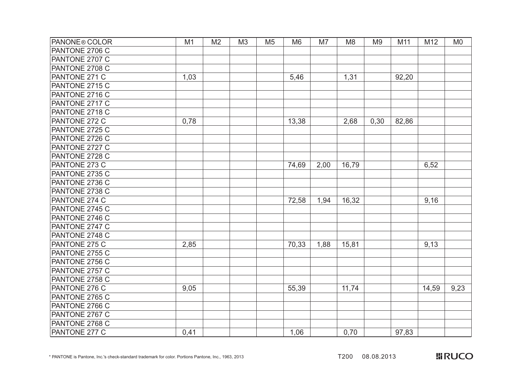| <b>PANONE® COLOR</b>  | M1   | M <sub>2</sub> | M <sub>3</sub> | M <sub>5</sub> | M <sub>6</sub> | M7   | M <sub>8</sub> | M <sub>9</sub> | M11   | M12   | M <sub>0</sub> |
|-----------------------|------|----------------|----------------|----------------|----------------|------|----------------|----------------|-------|-------|----------------|
| PANTONE 2706 C        |      |                |                |                |                |      |                |                |       |       |                |
| PANTONE 2707 C        |      |                |                |                |                |      |                |                |       |       |                |
| PANTONE 2708 C        |      |                |                |                |                |      |                |                |       |       |                |
| PANTONE 271 C         | 1,03 |                |                |                | 5,46           |      | 1,31           |                | 92,20 |       |                |
| PANTONE 2715 C        |      |                |                |                |                |      |                |                |       |       |                |
| PANTONE 2716 C        |      |                |                |                |                |      |                |                |       |       |                |
| <b>PANTONE 2717 C</b> |      |                |                |                |                |      |                |                |       |       |                |
| PANTONE 2718 C        |      |                |                |                |                |      |                |                |       |       |                |
| PANTONE 272 C         | 0,78 |                |                |                | 13,38          |      | 2,68           | 0,30           | 82,86 |       |                |
| PANTONE 2725 C        |      |                |                |                |                |      |                |                |       |       |                |
| PANTONE 2726 C        |      |                |                |                |                |      |                |                |       |       |                |
| PANTONE 2727 C        |      |                |                |                |                |      |                |                |       |       |                |
| PANTONE 2728 C        |      |                |                |                |                |      |                |                |       |       |                |
| PANTONE 273 C         |      |                |                |                | 74,69          | 2,00 | 16,79          |                |       | 6,52  |                |
| PANTONE 2735 C        |      |                |                |                |                |      |                |                |       |       |                |
| PANTONE 2736 C        |      |                |                |                |                |      |                |                |       |       |                |
| PANTONE 2738 C        |      |                |                |                |                |      |                |                |       |       |                |
| PANTONE 274 C         |      |                |                |                | 72,58          | 1,94 | 16,32          |                |       | 9,16  |                |
| PANTONE 2745 C        |      |                |                |                |                |      |                |                |       |       |                |
| PANTONE 2746 C        |      |                |                |                |                |      |                |                |       |       |                |
| PANTONE 2747 C        |      |                |                |                |                |      |                |                |       |       |                |
| PANTONE 2748 C        |      |                |                |                |                |      |                |                |       |       |                |
| PANTONE 275 C         | 2,85 |                |                |                | 70,33          | 1,88 | 15,81          |                |       | 9,13  |                |
| PANTONE 2755 C        |      |                |                |                |                |      |                |                |       |       |                |
| PANTONE 2756 C        |      |                |                |                |                |      |                |                |       |       |                |
| PANTONE 2757 C        |      |                |                |                |                |      |                |                |       |       |                |
| PANTONE 2758 C        |      |                |                |                |                |      |                |                |       |       |                |
| PANTONE 276 C         | 9,05 |                |                |                | 55,39          |      | 11,74          |                |       | 14,59 | 9,23           |
| PANTONE 2765 C        |      |                |                |                |                |      |                |                |       |       |                |
| PANTONE 2766 C        |      |                |                |                |                |      |                |                |       |       |                |
| PANTONE 2767 C        |      |                |                |                |                |      |                |                |       |       |                |
| <b>PANTONE 2768 C</b> |      |                |                |                |                |      |                |                |       |       |                |
| PANTONE 277 C         | 0,41 |                |                |                | 1,06           |      | 0,70           |                | 97,83 |       |                |

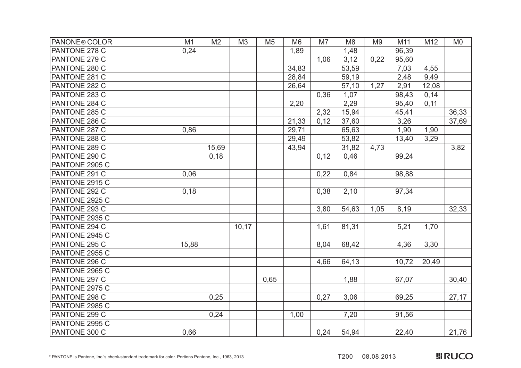| PANONE® COLOR        | M1    | M <sub>2</sub> | M <sub>3</sub> | M <sub>5</sub> | M <sub>6</sub> | M7   | M <sub>8</sub> | M <sub>9</sub> | M11   | M12   | M <sub>0</sub> |
|----------------------|-------|----------------|----------------|----------------|----------------|------|----------------|----------------|-------|-------|----------------|
| PANTONE 278 C        | 0,24  |                |                |                | 1,89           |      | 1,48           |                | 96,39 |       |                |
| PANTONE 279 C        |       |                |                |                |                | 1,06 | 3,12           | 0,22           | 95,60 |       |                |
| PANTONE 280 C        |       |                |                |                | 34,83          |      | 53,59          |                | 7,03  | 4,55  |                |
| PANTONE 281 C        |       |                |                |                | 28,84          |      | 59,19          |                | 2,48  | 9,49  |                |
| PANTONE 282 C        |       |                |                |                | 26,64          |      | 57,10          | 1,27           | 2,91  | 12,08 |                |
| PANTONE 283 C        |       |                |                |                |                | 0,36 | 1,07           |                | 98,43 | 0,14  |                |
| PANTONE 284 C        |       |                |                |                | 2,20           |      | 2,29           |                | 95,40 | 0,11  |                |
| PANTONE 285 C        |       |                |                |                |                | 2,32 | 15,94          |                | 45,41 |       | 36,33          |
| PANTONE 286 C        |       |                |                |                | 21,33          | 0,12 | 37,60          |                | 3,26  |       | 37,69          |
| PANTONE 287 C        | 0,86  |                |                |                | 29,71          |      | 65,63          |                | 1,90  | 1,90  |                |
| PANTONE 288 C        |       |                |                |                | 29,49          |      | 53,82          |                | 13,40 | 3,29  |                |
| PANTONE 289 C        |       | 15,69          |                |                | 43,94          |      | 31,82          | 4,73           |       |       | 3,82           |
| PANTONE 290 C        |       | 0,18           |                |                |                | 0,12 | 0,46           |                | 99,24 |       |                |
| PANTONE 2905 C       |       |                |                |                |                |      |                |                |       |       |                |
| PANTONE 291 C        | 0,06  |                |                |                |                | 0,22 | 0,84           |                | 98,88 |       |                |
| PANTONE 2915 C       |       |                |                |                |                |      |                |                |       |       |                |
| PANTONE 292 C        | 0,18  |                |                |                |                | 0,38 | 2,10           |                | 97,34 |       |                |
| PANTONE 2925 C       |       |                |                |                |                |      |                |                |       |       |                |
| PANTONE 293 C        |       |                |                |                |                | 3,80 | 54,63          | 1,05           | 8,19  |       | 32,33          |
| PANTONE 2935 C       |       |                |                |                |                |      |                |                |       |       |                |
| PANTONE 294 C        |       |                | 10, 17         |                |                | 1,61 | 81,31          |                | 5,21  | 1,70  |                |
| PANTONE 2945 C       |       |                |                |                |                |      |                |                |       |       |                |
| PANTONE 295 C        | 15,88 |                |                |                |                | 8,04 | 68,42          |                | 4,36  | 3,30  |                |
| PANTONE 2955 C       |       |                |                |                |                |      |                |                |       |       |                |
| <b>PANTONE 296 C</b> |       |                |                |                |                | 4,66 | 64,13          |                | 10,72 | 20,49 |                |
| PANTONE 2965 C       |       |                |                |                |                |      |                |                |       |       |                |
| PANTONE 297 C        |       |                |                | 0,65           |                |      | 1,88           |                | 67,07 |       | 30,40          |
| PANTONE 2975 C       |       |                |                |                |                |      |                |                |       |       |                |
| PANTONE 298 C        |       | 0,25           |                |                |                | 0,27 | 3,06           |                | 69,25 |       | 27,17          |
| PANTONE 2985 C       |       |                |                |                |                |      |                |                |       |       |                |
| PANTONE 299 C        |       | 0,24           |                |                | 1,00           |      | 7,20           |                | 91,56 |       |                |
| PANTONE 2995 C       |       |                |                |                |                |      |                |                |       |       |                |
| PANTONE 300 C        | 0,66  |                |                |                |                | 0,24 | 54,94          |                | 22,40 |       | 21,76          |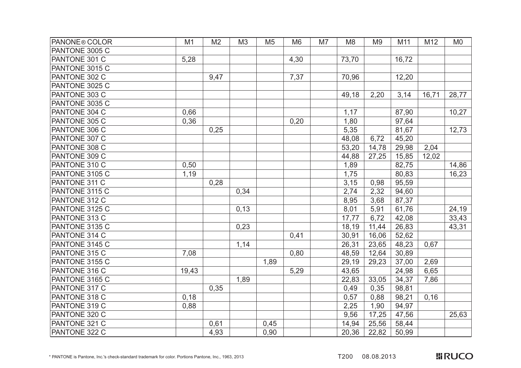| PANONE <sup>®</sup> COLOR | M1    | M <sub>2</sub> | M <sub>3</sub> | M <sub>5</sub> | M <sub>6</sub> | M7 | M <sub>8</sub> | M <sub>9</sub> | M11   | M12   | M <sub>0</sub> |
|---------------------------|-------|----------------|----------------|----------------|----------------|----|----------------|----------------|-------|-------|----------------|
| PANTONE 3005 C            |       |                |                |                |                |    |                |                |       |       |                |
| PANTONE 301 C             | 5,28  |                |                |                | 4,30           |    | 73,70          |                | 16,72 |       |                |
| PANTONE 3015 C            |       |                |                |                |                |    |                |                |       |       |                |
| PANTONE 302 C             |       | 9,47           |                |                | 7,37           |    | 70,96          |                | 12,20 |       |                |
| PANTONE 3025 C            |       |                |                |                |                |    |                |                |       |       |                |
| PANTONE 303 C             |       |                |                |                |                |    | 49,18          | 2,20           | 3,14  | 16,71 | 28,77          |
| PANTONE 3035 C            |       |                |                |                |                |    |                |                |       |       |                |
| PANTONE 304 C             | 0,66  |                |                |                |                |    | 1,17           |                | 87,90 |       | 10,27          |
| PANTONE 305 C             | 0,36  |                |                |                | 0,20           |    | 1,80           |                | 97,64 |       |                |
| PANTONE 306 C             |       | 0,25           |                |                |                |    | 5,35           |                | 81,67 |       | 12,73          |
| PANTONE 307 C             |       |                |                |                |                |    | 48,08          | 6,72           | 45,20 |       |                |
| PANTONE 308 C             |       |                |                |                |                |    | 53,20          | 14,78          | 29,98 | 2,04  |                |
| PANTONE 309 C             |       |                |                |                |                |    | 44,88          | 27,25          | 15,85 | 12,02 |                |
| PANTONE 310 C             | 0,50  |                |                |                |                |    | 1,89           |                | 82,75 |       | 14,86          |
| PANTONE 3105 C            | 1,19  |                |                |                |                |    | 1,75           |                | 80,83 |       | 16,23          |
| PANTONE 311 C             |       | 0,28           |                |                |                |    | 3,15           | 0,98           | 95,59 |       |                |
| PANTONE 3115 C            |       |                | 0,34           |                |                |    | 2,74           | 2,32           | 94,60 |       |                |
| PANTONE 312 C             |       |                |                |                |                |    | 8,95           | 3,68           | 87,37 |       |                |
| PANTONE 3125 C            |       |                | 0,13           |                |                |    | 8,01           | 5,91           | 61,76 |       | 24,19          |
| PANTONE 313 C             |       |                |                |                |                |    | 17,77          | 6,72           | 42,08 |       | 33,43          |
| PANTONE 3135 C            |       |                | 0,23           |                |                |    | 18,19          | 11,44          | 26,83 |       | 43,31          |
| PANTONE 314 C             |       |                |                |                | 0,41           |    | 30,91          | 16,06          | 52,62 |       |                |
| PANTONE 3145 C            |       |                | 1,14           |                |                |    | 26,31          | 23,65          | 48,23 | 0,67  |                |
| PANTONE 315 C             | 7,08  |                |                |                | 0,80           |    | 48,59          | 12,64          | 30,89 |       |                |
| PANTONE 3155 C            |       |                |                | 1,89           |                |    | 29,19          | 29,23          | 37,00 | 2,69  |                |
| PANTONE 316 C             | 19,43 |                |                |                | 5,29           |    | 43,65          |                | 24,98 | 6,65  |                |
| PANTONE 3165 C            |       |                | 1,89           |                |                |    | 22,83          | 33,05          | 34,37 | 7,86  |                |
| PANTONE 317 C             |       | 0,35           |                |                |                |    | 0,49           | 0,35           | 98,81 |       |                |
| PANTONE 318 C             | 0,18  |                |                |                |                |    | 0,57           | 0,88           | 98,21 | 0,16  |                |
| PANTONE 319 C             | 0,88  |                |                |                |                |    | 2,25           | 1,90           | 94,97 |       |                |
| PANTONE 320 C             |       |                |                |                |                |    | 9,56           | 17,25          | 47,56 |       | 25,63          |
| PANTONE 321 C             |       | 0,61           |                | 0,45           |                |    | 14,94          | 25,56          | 58,44 |       |                |
| PANTONE 322 C             |       | 4,93           |                | 0,90           |                |    | 20,36          | 22,82          | 50,99 |       |                |

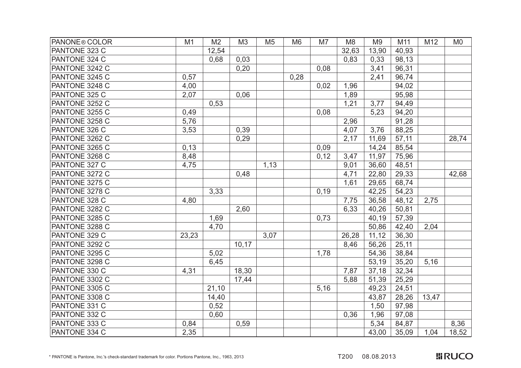| PANONE <sup>®</sup> COLOR | M1    | M <sub>2</sub> | M <sub>3</sub> | M <sub>5</sub> | M <sub>6</sub> | M7   | M <sub>8</sub> | M <sub>9</sub> | M11   | M12   | M <sub>0</sub> |
|---------------------------|-------|----------------|----------------|----------------|----------------|------|----------------|----------------|-------|-------|----------------|
| PANTONE 323 C             |       | 12,54          |                |                |                |      | 32,63          | 13,90          | 40,93 |       |                |
| PANTONE 324 C             |       | 0,68           | 0,03           |                |                |      | 0,83           | 0,33           | 98,13 |       |                |
| PANTONE 3242 C            |       |                | 0,20           |                |                | 0,08 |                | 3,41           | 96,31 |       |                |
| PANTONE 3245 C            | 0,57  |                |                |                | 0,28           |      |                | 2,41           | 96,74 |       |                |
| PANTONE 3248 C            | 4,00  |                |                |                |                | 0,02 | 1,96           |                | 94,02 |       |                |
| PANTONE 325 C             | 2,07  |                | 0,06           |                |                |      | 1,89           |                | 95,98 |       |                |
| PANTONE 3252 C            |       | 0,53           |                |                |                |      | 1,21           | 3,77           | 94,49 |       |                |
| PANTONE 3255 C            | 0,49  |                |                |                |                | 0,08 |                | 5,23           | 94,20 |       |                |
| PANTONE 3258 C            | 5,76  |                |                |                |                |      | 2,96           |                | 91,28 |       |                |
| PANTONE 326 C             | 3,53  |                | 0,39           |                |                |      | 4,07           | 3,76           | 88,25 |       |                |
| PANTONE 3262 C            |       |                | 0,29           |                |                |      | 2,17           | 11,69          | 57,11 |       | 28,74          |
| PANTONE 3265 C            | 0,13  |                |                |                |                | 0,09 |                | 14,24          | 85,54 |       |                |
| PANTONE 3268 C            | 8,48  |                |                |                |                | 0,12 | 3,47           | 11,97          | 75,96 |       |                |
| PANTONE 327 C             | 4,75  |                |                | 1,13           |                |      | 9,01           | 36,60          | 48,51 |       |                |
| PANTONE 3272 C            |       |                | 0,48           |                |                |      | 4,71           | 22,80          | 29,33 |       | 42,68          |
| PANTONE 3275 C            |       |                |                |                |                |      | 1,61           | 29,65          | 68,74 |       |                |
| PANTONE 3278 C            |       | 3,33           |                |                |                | 0,19 |                | 42,25          | 54,23 |       |                |
| PANTONE 328 C             | 4,80  |                |                |                |                |      | 7,75           | 36,58          | 48,12 | 2,75  |                |
| PANTONE 3282 C            |       |                | 2,60           |                |                |      | 6,33           | 40,26          | 50,81 |       |                |
| PANTONE 3285 C            |       | 1,69           |                |                |                | 0,73 |                | 40,19          | 57,39 |       |                |
| PANTONE 3288 C            |       | 4,70           |                |                |                |      |                | 50,86          | 42,40 | 2,04  |                |
| PANTONE 329 C             | 23,23 |                |                | 3,07           |                |      | 26,28          | 11, 12         | 36,30 |       |                |
| PANTONE 3292 C            |       |                | 10,17          |                |                |      | 8,46           | 56,26          | 25,11 |       |                |
| PANTONE 3295 C            |       | 5,02           |                |                |                | 1,78 |                | 54,36          | 38,84 |       |                |
| PANTONE 3298 C            |       | 6,45           |                |                |                |      |                | 53,19          | 35,20 | 5,16  |                |
| PANTONE 330 C             | 4,31  |                | 18,30          |                |                |      | 7,87           | 37,18          | 32,34 |       |                |
| PANTONE 3302 C            |       |                | 17,44          |                |                |      | 5,88           | 51,39          | 25,29 |       |                |
| PANTONE 3305 C            |       | 21,10          |                |                |                | 5,16 |                | 49,23          | 24,51 |       |                |
| PANTONE 3308 C            |       | 14,40          |                |                |                |      |                | 43,87          | 28,26 | 13,47 |                |
| PANTONE 331 C             |       | 0,52           |                |                |                |      |                | 1,50           | 97,98 |       |                |
| PANTONE 332 C             |       | 0,60           |                |                |                |      | 0,36           | 1,96           | 97,08 |       |                |
| PANTONE 333 C             | 0,84  |                | 0,59           |                |                |      |                | 5,34           | 84,87 |       | 8,36           |
| PANTONE 334 C             | 2,35  |                |                |                |                |      |                | 43,00          | 35,09 | 1,04  | 18,52          |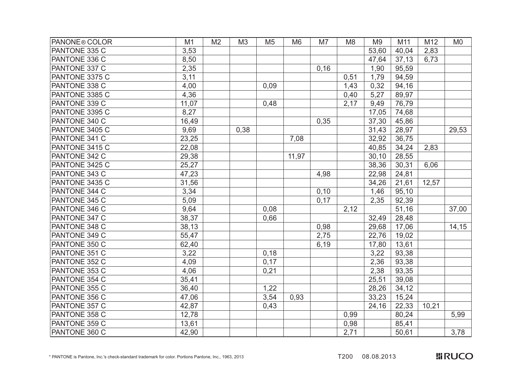| PANONE <sup>®</sup> COLOR | M1    | M <sub>2</sub> | M <sub>3</sub> | M <sub>5</sub> | M <sub>6</sub> | M7   | M <sub>8</sub> | M <sub>9</sub> | M11   | M12   | M <sub>0</sub> |
|---------------------------|-------|----------------|----------------|----------------|----------------|------|----------------|----------------|-------|-------|----------------|
| PANTONE 335 C             | 3,53  |                |                |                |                |      |                | 53,60          | 40,04 | 2,83  |                |
| PANTONE 336 C             | 8,50  |                |                |                |                |      |                | 47,64          | 37,13 | 6,73  |                |
| PANTONE 337 C             | 2,35  |                |                |                |                | 0,16 |                | 1,90           | 95,59 |       |                |
| PANTONE 3375 C            | 3,11  |                |                |                |                |      | 0,51           | 1,79           | 94,59 |       |                |
| PANTONE 338 C             | 4,00  |                |                | 0,09           |                |      | 1,43           | 0,32           | 94,16 |       |                |
| PANTONE 3385 C            | 4,36  |                |                |                |                |      | 0,40           | 5,27           | 89,97 |       |                |
| PANTONE 339 C             | 11,07 |                |                | 0,48           |                |      | 2,17           | 9,49           | 76,79 |       |                |
| PANTONE 3395 C            | 8,27  |                |                |                |                |      |                | 17,05          | 74,68 |       |                |
| PANTONE 340 C             | 16,49 |                |                |                |                | 0,35 |                | 37,30          | 45,86 |       |                |
| PANTONE 3405 C            | 9,69  |                | 0,38           |                |                |      |                | 31,43          | 28,97 |       | 29,53          |
| PANTONE 341 C             | 23,25 |                |                |                | 7,08           |      |                | 32,92          | 36,75 |       |                |
| PANTONE 3415 C            | 22,08 |                |                |                |                |      |                | 40,85          | 34,24 | 2,83  |                |
| PANTONE 342 C             | 29,38 |                |                |                | 11,97          |      |                | 30, 10         | 28,55 |       |                |
| PANTONE 3425 C            | 25,27 |                |                |                |                |      |                | 38,36          | 30,31 | 6,06  |                |
| PANTONE 343 C             | 47,23 |                |                |                |                | 4,98 |                | 22,98          | 24,81 |       |                |
| PANTONE 3435 C            | 31,56 |                |                |                |                |      |                | 34,26          | 21,61 | 12,57 |                |
| PANTONE 344 C             | 3,34  |                |                |                |                | 0,10 |                | 1,46           | 95,10 |       |                |
| PANTONE 345 C             | 5,09  |                |                |                |                | 0,17 |                | 2,35           | 92,39 |       |                |
| PANTONE 346 C             | 9,64  |                |                | 0,08           |                |      | 2,12           |                | 51,16 |       | 37,00          |
| PANTONE 347 C             | 38,37 |                |                | 0,66           |                |      |                | 32,49          | 28,48 |       |                |
| PANTONE 348 C             | 38,13 |                |                |                |                | 0,98 |                | 29,68          | 17,06 |       | 14, 15         |
| PANTONE 349 C             | 55,47 |                |                |                |                | 2,75 |                | 22,76          | 19,02 |       |                |
| PANTONE 350 C             | 62,40 |                |                |                |                | 6,19 |                | 17,80          | 13,61 |       |                |
| PANTONE 351 C             | 3,22  |                |                | 0,18           |                |      |                | 3,22           | 93,38 |       |                |
| PANTONE 352 C             | 4,09  |                |                | 0,17           |                |      |                | 2,36           | 93,38 |       |                |
| PANTONE 353 C             | 4,06  |                |                | 0,21           |                |      |                | 2,38           | 93,35 |       |                |
| PANTONE 354 C             | 35,41 |                |                |                |                |      |                | 25,51          | 39,08 |       |                |
| PANTONE 355 C             | 36,40 |                |                | 1,22           |                |      |                | 28,26          | 34,12 |       |                |
| PANTONE 356 C             | 47,06 |                |                | 3,54           | 0,93           |      |                | 33,23          | 15,24 |       |                |
| PANTONE 357 C             | 42,87 |                |                | 0,43           |                |      |                | 24,16          | 22,33 | 10,21 |                |
| PANTONE 358 C             | 12,78 |                |                |                |                |      | 0,99           |                | 80,24 |       | 5,99           |
| PANTONE 359 C             | 13,61 |                |                |                |                |      | 0,98           |                | 85,41 |       |                |
| PANTONE 360 C             | 42,90 |                |                |                |                |      | 2,71           |                | 50,61 |       | 3,78           |

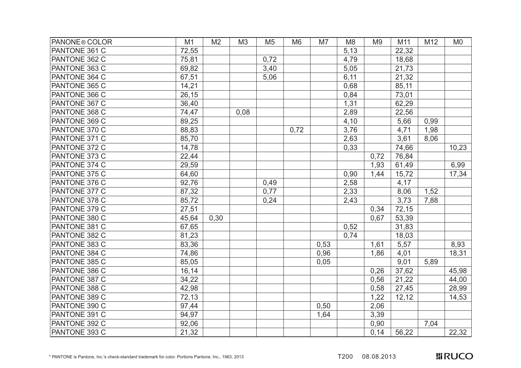| PANONE <sup>®</sup> COLOR | M1    | M <sub>2</sub> | M <sub>3</sub> | M <sub>5</sub> | M <sub>6</sub> | M7   | M <sub>8</sub> | M <sub>9</sub> | M11   | M12  | M <sub>0</sub> |
|---------------------------|-------|----------------|----------------|----------------|----------------|------|----------------|----------------|-------|------|----------------|
| PANTONE 361 C             | 72,55 |                |                |                |                |      | 5,13           |                | 22,32 |      |                |
| PANTONE 362 C             | 75,81 |                |                | 0,72           |                |      | 4,79           |                | 18,68 |      |                |
| PANTONE 363 C             | 69,82 |                |                | 3,40           |                |      | 5,05           |                | 21,73 |      |                |
| PANTONE 364 C             | 67,51 |                |                | 5,06           |                |      | 6,11           |                | 21,32 |      |                |
| PANTONE 365 C             | 14,21 |                |                |                |                |      | 0,68           |                | 85,11 |      |                |
| PANTONE 366 C             | 26,15 |                |                |                |                |      | 0,84           |                | 73,01 |      |                |
| PANTONE 367 C             | 36,40 |                |                |                |                |      | 1,31           |                | 62,29 |      |                |
| PANTONE 368 C             | 74,47 |                | 0,08           |                |                |      | 2,89           |                | 22,56 |      |                |
| PANTONE 369 C             | 89,25 |                |                |                |                |      | 4,10           |                | 5,66  | 0,99 |                |
| PANTONE 370 C             | 88,83 |                |                |                | 0,72           |      | 3,76           |                | 4,71  | 1,98 |                |
| PANTONE 371 C             | 85,70 |                |                |                |                |      | 2,63           |                | 3,61  | 8,06 |                |
| PANTONE 372 C             | 14,78 |                |                |                |                |      | 0,33           |                | 74,66 |      | 10,23          |
| PANTONE 373 C             | 22,44 |                |                |                |                |      |                | 0,72           | 76,84 |      |                |
| PANTONE 374 C             | 29,59 |                |                |                |                |      |                | 1,93           | 61,49 |      | 6,99           |
| PANTONE 375 C             | 64,60 |                |                |                |                |      | 0,90           | 1,44           | 15,72 |      | 17,34          |
| PANTONE 376 C             | 92,76 |                |                | 0,49           |                |      | 2,58           |                | 4,17  |      |                |
| PANTONE 377 C             | 87,32 |                |                | 0,77           |                |      | 2,33           |                | 8,06  | 1,52 |                |
| PANTONE 378 C             | 85,72 |                |                | 0,24           |                |      | 2,43           |                | 3,73  | 7,88 |                |
| PANTONE 379 C             | 27,51 |                |                |                |                |      |                | 0,34           | 72,15 |      |                |
| PANTONE 380 C             | 45,64 | 0,30           |                |                |                |      |                | 0,67           | 53,39 |      |                |
| PANTONE 381 C             | 67,65 |                |                |                |                |      | 0,52           |                | 31,83 |      |                |
| PANTONE 382 C             | 81,23 |                |                |                |                |      | 0,74           |                | 18,03 |      |                |
| PANTONE 383 C             | 83,36 |                |                |                |                | 0,53 |                | 1,61           | 5,57  |      | 8,93           |
| PANTONE 384 C             | 74,86 |                |                |                |                | 0,96 |                | 1,86           | 4,01  |      | 18,31          |
| PANTONE 385 C             | 85,05 |                |                |                |                | 0,05 |                |                | 9,01  | 5,89 |                |
| PANTONE 386 C             | 16,14 |                |                |                |                |      |                | 0,26           | 37,62 |      | 45,98          |
| PANTONE 387 C             | 34,22 |                |                |                |                |      |                | 0,56           | 21,22 |      | 44,00          |
| PANTONE 388 C             | 42,98 |                |                |                |                |      |                | 0,58           | 27,45 |      | 28,99          |
| PANTONE 389 C             | 72,13 |                |                |                |                |      |                | 1,22           | 12,12 |      | 14,53          |
| PANTONE 390 C             | 97,44 |                |                |                |                | 0,50 |                | 2,06           |       |      |                |
| PANTONE 391 C             | 94,97 |                |                |                |                | 1,64 |                | 3,39           |       |      |                |
| PANTONE 392 C             | 92,06 |                |                |                |                |      |                | 0,90           |       | 7,04 |                |
| PANTONE 393 C             | 21,32 |                |                |                |                |      |                | 0,14           | 56,22 |      | 22,32          |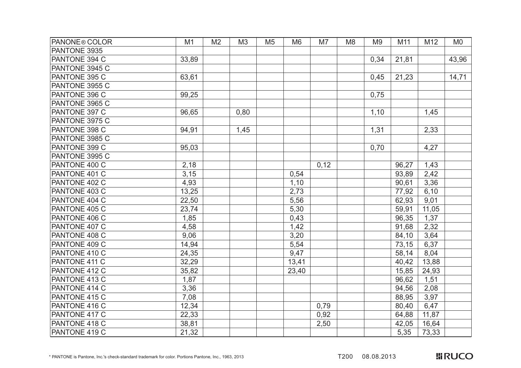| <b>PANONE® COLOR</b> | M1    | M <sub>2</sub> | M <sub>3</sub> | M <sub>5</sub> | M <sub>6</sub> | M7   | M <sub>8</sub> | M <sub>9</sub> | M11   | M12   | M <sub>0</sub> |
|----------------------|-------|----------------|----------------|----------------|----------------|------|----------------|----------------|-------|-------|----------------|
| PANTONE 3935         |       |                |                |                |                |      |                |                |       |       |                |
| PANTONE 394 C        | 33,89 |                |                |                |                |      |                | 0,34           | 21,81 |       | 43,96          |
| PANTONE 3945 C       |       |                |                |                |                |      |                |                |       |       |                |
| PANTONE 395 C        | 63,61 |                |                |                |                |      |                | 0,45           | 21,23 |       | 14,71          |
| PANTONE 3955 C       |       |                |                |                |                |      |                |                |       |       |                |
| PANTONE 396 C        | 99,25 |                |                |                |                |      |                | 0,75           |       |       |                |
| PANTONE 3965 C       |       |                |                |                |                |      |                |                |       |       |                |
| PANTONE 397 C        | 96,65 |                | 0,80           |                |                |      |                | 1,10           |       | 1,45  |                |
| PANTONE 3975 C       |       |                |                |                |                |      |                |                |       |       |                |
| PANTONE 398 C        | 94,91 |                | 1,45           |                |                |      |                | 1,31           |       | 2,33  |                |
| PANTONE 3985 C       |       |                |                |                |                |      |                |                |       |       |                |
| PANTONE 399 C        | 95,03 |                |                |                |                |      |                | 0.70           |       | 4,27  |                |
| PANTONE 3995 C       |       |                |                |                |                |      |                |                |       |       |                |
| PANTONE 400 C        | 2,18  |                |                |                |                | 0,12 |                |                | 96,27 | 1,43  |                |
| PANTONE 401 C        | 3,15  |                |                |                | 0,54           |      |                |                | 93,89 | 2,42  |                |
| PANTONE 402 C        | 4,93  |                |                |                | 1,10           |      |                |                | 90,61 | 3,36  |                |
| PANTONE 403 C        | 13,25 |                |                |                | 2,73           |      |                |                | 77,92 | 6,10  |                |
| PANTONE 404 C        | 22,50 |                |                |                | 5,56           |      |                |                | 62,93 | 9,01  |                |
| PANTONE 405 C        | 23,74 |                |                |                | 5,30           |      |                |                | 59,91 | 11,05 |                |
| PANTONE 406 C        | 1,85  |                |                |                | 0,43           |      |                |                | 96,35 | 1,37  |                |
| PANTONE 407 C        | 4,58  |                |                |                | 1,42           |      |                |                | 91,68 | 2,32  |                |
| <b>PANTONE 408 C</b> | 9,06  |                |                |                | 3,20           |      |                |                | 84,10 | 3,64  |                |
| PANTONE 409 C        | 14,94 |                |                |                | 5,54           |      |                |                | 73,15 | 6,37  |                |
| PANTONE 410 C        | 24,35 |                |                |                | 9,47           |      |                |                | 58,14 | 8,04  |                |
| PANTONE 411 C        | 32,29 |                |                |                | 13,41          |      |                |                | 40,42 | 13,88 |                |
| PANTONE 412 C        | 35,82 |                |                |                | 23,40          |      |                |                | 15,85 | 24,93 |                |
| PANTONE 413 C        | 1,87  |                |                |                |                |      |                |                | 96,62 | 1,51  |                |
| PANTONE 414 C        | 3,36  |                |                |                |                |      |                |                | 94,56 | 2,08  |                |
| PANTONE 415 C        | 7,08  |                |                |                |                |      |                |                | 88,95 | 3,97  |                |
| PANTONE 416 C        | 12,34 |                |                |                |                | 0.79 |                |                | 80,40 | 6,47  |                |
| PANTONE 417 C        | 22,33 |                |                |                |                | 0,92 |                |                | 64,88 | 11,87 |                |
| <b>PANTONE 418 C</b> | 38,81 |                |                |                |                | 2,50 |                |                | 42,05 | 16,64 |                |
| PANTONE 419 C        | 21,32 |                |                |                |                |      |                |                | 5,35  | 73,33 |                |

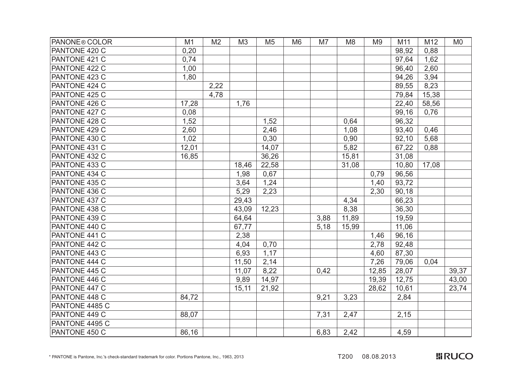| PANONE <sup>®</sup> COLOR | M1    | M <sub>2</sub> | M <sub>3</sub> | M <sub>5</sub> | M <sub>6</sub> | M7   | M <sub>8</sub> | M <sub>9</sub> | M11   | M12   | M <sub>0</sub> |
|---------------------------|-------|----------------|----------------|----------------|----------------|------|----------------|----------------|-------|-------|----------------|
| PANTONE 420 C             | 0,20  |                |                |                |                |      |                |                | 98,92 | 0,88  |                |
| PANTONE 421 C             | 0,74  |                |                |                |                |      |                |                | 97,64 | 1,62  |                |
| PANTONE 422 C             | 1,00  |                |                |                |                |      |                |                | 96,40 | 2,60  |                |
| PANTONE 423 C             | 1,80  |                |                |                |                |      |                |                | 94,26 | 3,94  |                |
| PANTONE 424 C             |       | 2,22           |                |                |                |      |                |                | 89,55 | 8,23  |                |
| PANTONE 425 C             |       | 4,78           |                |                |                |      |                |                | 79,84 | 15,38 |                |
| PANTONE 426 C             | 17,28 |                | 1,76           |                |                |      |                |                | 22,40 | 58,56 |                |
| PANTONE 427 C             | 0,08  |                |                |                |                |      |                |                | 99,16 | 0,76  |                |
| PANTONE 428 C             | 1,52  |                |                | 1,52           |                |      | 0,64           |                | 96,32 |       |                |
| PANTONE 429 C             | 2,60  |                |                | 2,46           |                |      | 1,08           |                | 93,40 | 0,46  |                |
| PANTONE 430 C             | 1,02  |                |                | 0,30           |                |      | 0,90           |                | 92,10 | 5,68  |                |
| PANTONE 431 C             | 12,01 |                |                | 14,07          |                |      | 5,82           |                | 67,22 | 0,88  |                |
| PANTONE 432 C             | 16,85 |                |                | 36,26          |                |      | 15,81          |                | 31,08 |       |                |
| PANTONE 433 C             |       |                | 18,46          | 22,58          |                |      | 31,08          |                | 10,80 | 17,08 |                |
| PANTONE 434 C             |       |                | 1,98           | 0,67           |                |      |                | 0,79           | 96,56 |       |                |
| PANTONE 435 C             |       |                | 3,64           | 1,24           |                |      |                | 1,40           | 93,72 |       |                |
| PANTONE 436 C             |       |                | 5,29           | 2,23           |                |      |                | 2,30           | 90,18 |       |                |
| PANTONE 437 C             |       |                | 29,43          |                |                |      | 4,34           |                | 66,23 |       |                |
| PANTONE 438 C             |       |                | 43,09          | 12,23          |                |      | 8,38           |                | 36,30 |       |                |
| PANTONE 439 C             |       |                | 64,64          |                |                | 3,88 | 11,89          |                | 19,59 |       |                |
| PANTONE 440 C             |       |                | 67,77          |                |                | 5,18 | 15,99          |                | 11,06 |       |                |
| PANTONE 441 C             |       |                | 2,38           |                |                |      |                | 1,46           | 96,16 |       |                |
| PANTONE 442 C             |       |                | 4,04           | 0,70           |                |      |                | 2,78           | 92,48 |       |                |
| PANTONE 443 C             |       |                | 6,93           | 1,17           |                |      |                | 4,60           | 87,30 |       |                |
| PANTONE 444 C             |       |                | 11,50          | 2,14           |                |      |                | 7,26           | 79,06 | 0,04  |                |
| PANTONE 445 C             |       |                | 11,07          | 8,22           |                | 0,42 |                | 12,85          | 28,07 |       | 39,37          |
| PANTONE 446 C             |       |                | 9,89           | 14,97          |                |      |                | 19,39          | 12,75 |       | 43,00          |
| PANTONE 447 C             |       |                | 15,11          | 21,92          |                |      |                | 28,62          | 10,61 |       | 23,74          |
| PANTONE 448 C             | 84,72 |                |                |                |                | 9,21 | 3,23           |                | 2,84  |       |                |
| PANTONE 4485 C            |       |                |                |                |                |      |                |                |       |       |                |
| PANTONE 449 C             | 88,07 |                |                |                |                | 7,31 | 2,47           |                | 2,15  |       |                |
| PANTONE 4495 C            |       |                |                |                |                |      |                |                |       |       |                |
| PANTONE 450 C             | 86,16 |                |                |                |                | 6,83 | 2,42           |                | 4,59  |       |                |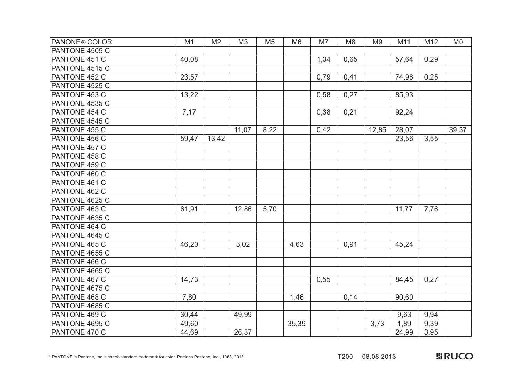| <b>PANONE® COLOR</b> | M1    | M <sub>2</sub> | M3    | M <sub>5</sub> | M <sub>6</sub> | M7   | M <sub>8</sub> | M <sub>9</sub> | M11   | M12  | M <sub>0</sub> |
|----------------------|-------|----------------|-------|----------------|----------------|------|----------------|----------------|-------|------|----------------|
| PANTONE 4505 C       |       |                |       |                |                |      |                |                |       |      |                |
| PANTONE 451 C        | 40,08 |                |       |                |                | 1,34 | 0,65           |                | 57,64 | 0,29 |                |
| PANTONE 4515 C       |       |                |       |                |                |      |                |                |       |      |                |
| PANTONE 452 C        | 23,57 |                |       |                |                | 0,79 | 0,41           |                | 74,98 | 0,25 |                |
| PANTONE 4525 C       |       |                |       |                |                |      |                |                |       |      |                |
| PANTONE 453 C        | 13,22 |                |       |                |                | 0,58 | 0,27           |                | 85,93 |      |                |
| PANTONE 4535 C       |       |                |       |                |                |      |                |                |       |      |                |
| PANTONE 454 C        | 7,17  |                |       |                |                | 0,38 | 0,21           |                | 92,24 |      |                |
| PANTONE 4545 C       |       |                |       |                |                |      |                |                |       |      |                |
| PANTONE 455 C        |       |                | 11,07 | 8,22           |                | 0,42 |                | 12,85          | 28,07 |      | 39,37          |
| PANTONE 456 C        | 59,47 | 13,42          |       |                |                |      |                |                | 23,56 | 3,55 |                |
| PANTONE 457 C        |       |                |       |                |                |      |                |                |       |      |                |
| PANTONE 458 C        |       |                |       |                |                |      |                |                |       |      |                |
| PANTONE 459 C        |       |                |       |                |                |      |                |                |       |      |                |
| PANTONE 460 C        |       |                |       |                |                |      |                |                |       |      |                |
| PANTONE 461 C        |       |                |       |                |                |      |                |                |       |      |                |
| <b>PANTONE 462 C</b> |       |                |       |                |                |      |                |                |       |      |                |
| PANTONE 4625 C       |       |                |       |                |                |      |                |                |       |      |                |
| PANTONE 463 C        | 61,91 |                | 12,86 | 5,70           |                |      |                |                | 11,77 | 7,76 |                |
| PANTONE 4635 C       |       |                |       |                |                |      |                |                |       |      |                |
| PANTONE 464 C        |       |                |       |                |                |      |                |                |       |      |                |
| PANTONE 4645 C       |       |                |       |                |                |      |                |                |       |      |                |
| PANTONE 465 C        | 46,20 |                | 3,02  |                | 4,63           |      | 0,91           |                | 45,24 |      |                |
| PANTONE 4655 C       |       |                |       |                |                |      |                |                |       |      |                |
| PANTONE 466 C        |       |                |       |                |                |      |                |                |       |      |                |
| PANTONE 4665 C       |       |                |       |                |                |      |                |                |       |      |                |
| PANTONE 467 C        | 14,73 |                |       |                |                | 0,55 |                |                | 84,45 | 0,27 |                |
| PANTONE 4675 C       |       |                |       |                |                |      |                |                |       |      |                |
| PANTONE 468 C        | 7,80  |                |       |                | 1,46           |      | 0,14           |                | 90,60 |      |                |
| PANTONE 4685 C       |       |                |       |                |                |      |                |                |       |      |                |
| PANTONE 469 C        | 30,44 |                | 49,99 |                |                |      |                |                | 9,63  | 9,94 |                |
| PANTONE 4695 C       | 49,60 |                |       |                | 35,39          |      |                | 3,73           | 1,89  | 9,39 |                |
| PANTONE 470 C        | 44,69 |                | 26,37 |                |                |      |                |                | 24,99 | 3,95 |                |

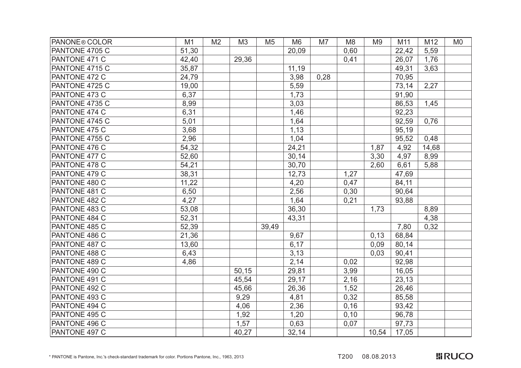| PANONE <sup>®</sup> COLOR | M1    | M <sub>2</sub> | M <sub>3</sub> | M <sub>5</sub> | M <sub>6</sub> | M7   | M <sub>8</sub> | M <sub>9</sub> | M11   | M12   | M <sub>0</sub> |
|---------------------------|-------|----------------|----------------|----------------|----------------|------|----------------|----------------|-------|-------|----------------|
| PANTONE 4705 C            | 51,30 |                |                |                | 20,09          |      | 0,60           |                | 22,42 | 5,59  |                |
| PANTONE 471 C             | 42,40 |                | 29,36          |                |                |      | 0,41           |                | 26,07 | 1,76  |                |
| PANTONE 4715 C            | 35,87 |                |                |                | 11,19          |      |                |                | 49,31 | 3,63  |                |
| PANTONE 472 C             | 24,79 |                |                |                | 3,98           | 0,28 |                |                | 70,95 |       |                |
| PANTONE 4725 C            | 19,00 |                |                |                | 5,59           |      |                |                | 73,14 | 2,27  |                |
| PANTONE 473 C             | 6,37  |                |                |                | 1,73           |      |                |                | 91,90 |       |                |
| PANTONE 4735 C            | 8,99  |                |                |                | 3,03           |      |                |                | 86,53 | 1,45  |                |
| PANTONE 474 C             | 6,31  |                |                |                | 1,46           |      |                |                | 92,23 |       |                |
| PANTONE 4745 C            | 5,01  |                |                |                | 1,64           |      |                |                | 92,59 | 0,76  |                |
| PANTONE 475 C             | 3,68  |                |                |                | 1,13           |      |                |                | 95,19 |       |                |
| PANTONE 4755 C            | 2,96  |                |                |                | 1,04           |      |                |                | 95,52 | 0,48  |                |
| PANTONE 476 C             | 54,32 |                |                |                | 24,21          |      |                | 1,87           | 4,92  | 14,68 |                |
| PANTONE 477 C             | 52,60 |                |                |                | 30,14          |      |                | 3,30           | 4,97  | 8,99  |                |
| PANTONE 478 C             | 54,21 |                |                |                | 30,70          |      |                | 2,60           | 6,61  | 5,88  |                |
| PANTONE 479 C             | 38,31 |                |                |                | 12,73          |      | 1,27           |                | 47,69 |       |                |
| PANTONE 480 C             | 11,22 |                |                |                | 4,20           |      | 0,47           |                | 84,11 |       |                |
| PANTONE 481 C             | 6,50  |                |                |                | 2,56           |      | 0,30           |                | 90,64 |       |                |
| PANTONE 482 C             | 4,27  |                |                |                | 1,64           |      | 0,21           |                | 93,88 |       |                |
| PANTONE 483 C             | 53,08 |                |                |                | 36,30          |      |                | 1,73           |       | 8,89  |                |
| PANTONE 484 C             | 52,31 |                |                |                | 43,31          |      |                |                |       | 4,38  |                |
| PANTONE 485 C             | 52,39 |                |                | 39,49          |                |      |                |                | 7,80  | 0,32  |                |
| PANTONE 486 C             | 21,36 |                |                |                | 9,67           |      |                | 0,13           | 68,84 |       |                |
| PANTONE 487 C             | 13,60 |                |                |                | 6,17           |      |                | 0,09           | 80,14 |       |                |
| PANTONE 488 C             | 6,43  |                |                |                | 3,13           |      |                | 0,03           | 90,41 |       |                |
| PANTONE 489 C             | 4,86  |                |                |                | 2,14           |      | 0,02           |                | 92,98 |       |                |
| PANTONE 490 C             |       |                | 50,15          |                | 29,81          |      | 3,99           |                | 16,05 |       |                |
| PANTONE 491 C             |       |                | 45,54          |                | 29,17          |      | 2,16           |                | 23,13 |       |                |
| PANTONE 492 C             |       |                | 45,66          |                | 26,36          |      | 1,52           |                | 26,46 |       |                |
| PANTONE 493 C             |       |                | 9,29           |                | 4,81           |      | 0,32           |                | 85,58 |       |                |
| PANTONE 494 C             |       |                | 4,06           |                | 2,36           |      | 0,16           |                | 93,42 |       |                |
| PANTONE 495 C             |       |                | 1,92           |                | 1,20           |      | 0, 10          |                | 96,78 |       |                |
| PANTONE 496 C             |       |                | 1,57           |                | 0,63           |      | 0,07           |                | 97,73 |       |                |
| PANTONE 497 C             |       |                | 40,27          |                | 32,14          |      |                | 10,54          | 17,05 |       |                |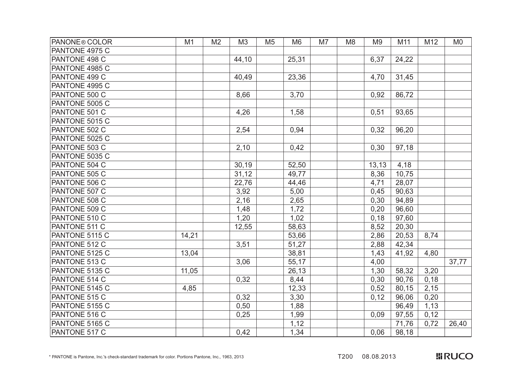| <b>PANONE® COLOR</b> | M1    | M <sub>2</sub> | M <sub>3</sub> | M <sub>5</sub><br>M <sub>6</sub> | M7 | M <sub>8</sub> | M <sub>9</sub> | M11   | M12  | M <sub>0</sub> |
|----------------------|-------|----------------|----------------|----------------------------------|----|----------------|----------------|-------|------|----------------|
| PANTONE 4975 C       |       |                |                |                                  |    |                |                |       |      |                |
| PANTONE 498 C        |       |                | 44,10          | 25,31                            |    |                | 6,37           | 24,22 |      |                |
| PANTONE 4985 C       |       |                |                |                                  |    |                |                |       |      |                |
| PANTONE 499 C        |       |                | 40,49          | 23,36                            |    |                | 4,70           | 31,45 |      |                |
| PANTONE 4995 C       |       |                |                |                                  |    |                |                |       |      |                |
| PANTONE 500 C        |       |                | 8,66           | 3,70                             |    |                | 0,92           | 86,72 |      |                |
| PANTONE 5005 C       |       |                |                |                                  |    |                |                |       |      |                |
| PANTONE 501 C        |       |                | 4,26           | 1,58                             |    |                | 0,51           | 93,65 |      |                |
| PANTONE 5015 C       |       |                |                |                                  |    |                |                |       |      |                |
| PANTONE 502 C        |       |                | 2,54           | 0,94                             |    |                | 0,32           | 96,20 |      |                |
| PANTONE 5025 C       |       |                |                |                                  |    |                |                |       |      |                |
| PANTONE 503 C        |       |                | 2,10           | 0,42                             |    |                | 0,30           | 97,18 |      |                |
| PANTONE 5035 C       |       |                |                |                                  |    |                |                |       |      |                |
| PANTONE 504 C        |       |                | 30,19          | 52,50                            |    |                | 13,13          | 4,18  |      |                |
| PANTONE 505 C        |       |                | 31,12          | 49,77                            |    |                | 8,36           | 10,75 |      |                |
| PANTONE 506 C        |       |                | 22,76          | 44,46                            |    |                | 4,71           | 28,07 |      |                |
| PANTONE 507 C        |       |                | 3,92           | 5,00                             |    |                | 0,45           | 90,63 |      |                |
| PANTONE 508 C        |       |                | 2,16           | 2,65                             |    |                | 0,30           | 94,89 |      |                |
| PANTONE 509 C        |       |                | 1,48           | 1,72                             |    |                | 0,20           | 96,60 |      |                |
| PANTONE 510 C        |       |                | 1,20           | 1,02                             |    |                | 0,18           | 97,60 |      |                |
| PANTONE 511 C        |       |                | 12,55          | 58,63                            |    |                | 8,52           | 20,30 |      |                |
| PANTONE 5115 C       | 14,21 |                |                | 53,66                            |    |                | 2,86           | 20,53 | 8,74 |                |
| PANTONE 512 C        |       |                | 3,51           | 51,27                            |    |                | 2,88           | 42,34 |      |                |
| PANTONE 5125 C       | 13,04 |                |                | 38,81                            |    |                | 1,43           | 41,92 | 4,80 |                |
| PANTONE 513 C        |       |                | 3,06           | 55,17                            |    |                | 4,00           |       |      | 37,77          |
| PANTONE 5135 C       | 11,05 |                |                | 26,13                            |    |                | 1,30           | 58,32 | 3,20 |                |
| PANTONE 514 C        |       |                | 0,32           | 8,44                             |    |                | 0,30           | 90,76 | 0,18 |                |
| PANTONE 5145 C       | 4,85  |                |                | 12,33                            |    |                | 0,52           | 80,15 | 2,15 |                |
| PANTONE 515 C        |       |                | 0,32           | 3,30                             |    |                | 0,12           | 96,06 | 0,20 |                |
| PANTONE 5155 C       |       |                | 0,50           | 1,88                             |    |                |                | 96,49 | 1,13 |                |
| PANTONE 516 C        |       |                | 0,25           | 1,99                             |    |                | 0,09           | 97,55 | 0,12 |                |
| PANTONE 5165 C       |       |                |                | 1,12                             |    |                |                | 71,76 | 0,72 | 26,40          |
| PANTONE 517 C        |       |                | 0,42           | 1,34                             |    |                | 0,06           | 98,18 |      |                |

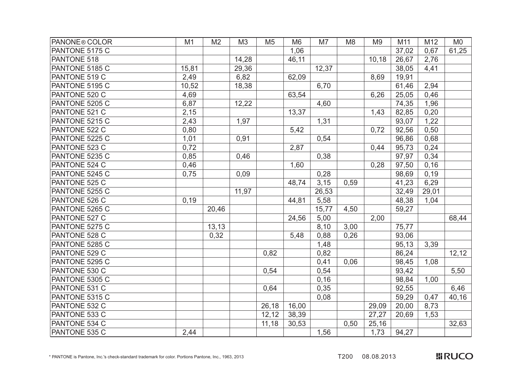| <b>PANONE® COLOR</b> | M1    | M <sub>2</sub> | M <sub>3</sub> | M <sub>5</sub> | M <sub>6</sub> | M7    | M <sub>8</sub> | M <sub>9</sub> | M11   | M12   | M <sub>0</sub> |
|----------------------|-------|----------------|----------------|----------------|----------------|-------|----------------|----------------|-------|-------|----------------|
| PANTONE 5175 C       |       |                |                |                | 1,06           |       |                |                | 37,02 | 0,67  | 61,25          |
| PANTONE 518          |       |                | 14,28          |                | 46,11          |       |                | 10,18          | 26,67 | 2,76  |                |
| PANTONE 5185 C       | 15,81 |                | 29,36          |                |                | 12,37 |                |                | 38,05 | 4,41  |                |
| PANTONE 519 C        | 2,49  |                | 6,82           |                | 62,09          |       |                | 8,69           | 19,91 |       |                |
| PANTONE 5195 C       | 10,52 |                | 18,38          |                |                | 6,70  |                |                | 61,46 | 2,94  |                |
| PANTONE 520 C        | 4,69  |                |                |                | 63,54          |       |                | 6,26           | 25,05 | 0,46  |                |
| PANTONE 5205 C       | 6,87  |                | 12,22          |                |                | 4,60  |                |                | 74,35 | 1,96  |                |
| PANTONE 521 C        | 2,15  |                |                |                | 13,37          |       |                | 1,43           | 82,85 | 0,20  |                |
| PANTONE 5215 C       | 2,43  |                | 1,97           |                |                | 1,31  |                |                | 93,07 | 1,22  |                |
| PANTONE 522 C        | 0,80  |                |                |                | 5,42           |       |                | 0,72           | 92,56 | 0,50  |                |
| PANTONE 5225 C       | 1,01  |                | 0,91           |                |                | 0,54  |                |                | 96,86 | 0,68  |                |
| PANTONE 523 C        | 0,72  |                |                |                | 2,87           |       |                | 0,44           | 95,73 | 0,24  |                |
| PANTONE 5235 C       | 0,85  |                | 0,46           |                |                | 0,38  |                |                | 97,97 | 0,34  |                |
| PANTONE 524 C        | 0,46  |                |                |                | 1,60           |       |                | 0,28           | 97,50 | 0,16  |                |
| PANTONE 5245 C       | 0,75  |                | 0,09           |                |                | 0,28  |                |                | 98,69 | 0,19  |                |
| PANTONE 525 C        |       |                |                |                | 48,74          | 3,15  | 0,59           |                | 41,23 | 6,29  |                |
| PANTONE 5255 C       |       |                | 11,97          |                |                | 26,53 |                |                | 32,49 | 29,01 |                |
| PANTONE 526 C        | 0,19  |                |                |                | 44,81          | 5,58  |                |                | 48,38 | 1,04  |                |
| PANTONE 5265 C       |       | 20,46          |                |                |                | 15,77 | 4,50           |                | 59,27 |       |                |
| PANTONE 527 C        |       |                |                |                | 24,56          | 5,00  |                | 2,00           |       |       | 68,44          |
| PANTONE 5275 C       |       | 13, 13         |                |                |                | 8,10  | 3,00           |                | 75,77 |       |                |
| PANTONE 528 C        |       | 0,32           |                |                | 5,48           | 0,88  | 0,26           |                | 93,06 |       |                |
| PANTONE 5285 C       |       |                |                |                |                | 1,48  |                |                | 95,13 | 3,39  |                |
| PANTONE 529 C        |       |                |                | 0,82           |                | 0,82  |                |                | 86,24 |       | 12,12          |
| PANTONE 5295 C       |       |                |                |                |                | 0,41  | 0,06           |                | 98,45 | 1,08  |                |
| PANTONE 530 C        |       |                |                | 0,54           |                | 0,54  |                |                | 93,42 |       | 5,50           |
| PANTONE 5305 C       |       |                |                |                |                | 0,16  |                |                | 98,84 | 1,00  |                |
| PANTONE 531 C        |       |                |                | 0,64           |                | 0,35  |                |                | 92,55 |       | 6,46           |
| PANTONE 5315 C       |       |                |                |                |                | 0,08  |                |                | 59,29 | 0,47  | 40,16          |
| PANTONE 532 C        |       |                |                | 26,18          | 16,00          |       |                | 29,09          | 20,00 | 8,73  |                |
| PANTONE 533 C        |       |                |                | 12,12          | 38,39          |       |                | 27,27          | 20,69 | 1,53  |                |
| PANTONE 534 C        |       |                |                | 11,18          | 30,53          |       | 0,50           | 25,16          |       |       | 32,63          |
| PANTONE 535 C        | 2,44  |                |                |                |                | 1,56  |                | 1,73           | 94,27 |       |                |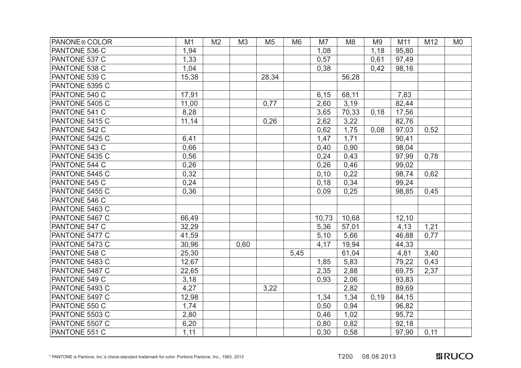| PANONE <sup>®</sup> COLOR | M1    | M <sub>2</sub> | M <sub>3</sub> | M <sub>5</sub> | M <sub>6</sub> | M7    | M <sub>8</sub> | M <sub>9</sub> | M11   | M12  | M <sub>0</sub> |
|---------------------------|-------|----------------|----------------|----------------|----------------|-------|----------------|----------------|-------|------|----------------|
| PANTONE 536 C             | 1,94  |                |                |                |                | 1,08  |                | 1,18           | 95,80 |      |                |
| PANTONE 537 C             | 1,33  |                |                |                |                | 0,57  |                | 0,61           | 97,49 |      |                |
| PANTONE 538 C             | 1,04  |                |                |                |                | 0,38  |                | 0,42           | 98,16 |      |                |
| PANTONE 539 C             | 15,38 |                |                | 28,34          |                |       | 56,28          |                |       |      |                |
| PANTONE 5395 C            |       |                |                |                |                |       |                |                |       |      |                |
| PANTONE 540 C             | 17,91 |                |                |                |                | 6,15  | 68,11          |                | 7,83  |      |                |
| PANTONE 5405 C            | 11,00 |                |                | 0,77           |                | 2,60  | 3,19           |                | 82,44 |      |                |
| PANTONE 541 C             | 8,28  |                |                |                |                | 3,65  | 70,33          | 0,18           | 17,56 |      |                |
| PANTONE 5415 C            | 11,14 |                |                | 0,26           |                | 2,62  | 3,22           |                | 82,76 |      |                |
| PANTONE 542 C             |       |                |                |                |                | 0,62  | 1,75           | 0,08           | 97,03 | 0,52 |                |
| PANTONE 5425 C            | 6,41  |                |                |                |                | 1,47  | 1,71           |                | 90,41 |      |                |
| PANTONE 543 C             | 0,66  |                |                |                |                | 0,40  | 0,90           |                | 98,04 |      |                |
| PANTONE 5435 C            | 0,56  |                |                |                |                | 0,24  | 0,43           |                | 97,99 | 0,78 |                |
| PANTONE 544 C             | 0,26  |                |                |                |                | 0,26  | 0,46           |                | 99,02 |      |                |
| PANTONE 5445 C            | 0,32  |                |                |                |                | 0,10  | 0,22           |                | 98,74 | 0,62 |                |
| PANTONE 545 C             | 0,24  |                |                |                |                | 0,18  | 0,34           |                | 99,24 |      |                |
| PANTONE 5455 C            | 0,36  |                |                |                |                | 0,09  | 0,25           |                | 98,85 | 0,45 |                |
| PANTONE 546 C             |       |                |                |                |                |       |                |                |       |      |                |
| PANTONE 5463 C            |       |                |                |                |                |       |                |                |       |      |                |
| PANTONE 5467 C            | 66,49 |                |                |                |                | 10,73 | 10,68          |                | 12,10 |      |                |
| PANTONE 547 C             | 32,29 |                |                |                |                | 5,36  | 57,01          |                | 4,13  | 1,21 |                |
| PANTONE 5477 C            | 41,59 |                |                |                |                | 5,10  | 5,66           |                | 46,88 | 0,77 |                |
| PANTONE 5473 C            | 30,96 |                | 0,60           |                |                | 4,17  | 19,94          |                | 44,33 |      |                |
| PANTONE 548 C             | 25,30 |                |                |                | 5,45           |       | 61,04          |                | 4,81  | 3,40 |                |
| PANTONE 5483 C            | 12,67 |                |                |                |                | 1,85  | 5,83           |                | 79,22 | 0,43 |                |
| PANTONE 5487 C            | 22,65 |                |                |                |                | 2,35  | 2,88           |                | 69,75 | 2,37 |                |
| PANTONE 549 C             | 3,18  |                |                |                |                | 0,93  | 2,06           |                | 93,83 |      |                |
| PANTONE 5493 C            | 4,27  |                |                | 3,22           |                |       | 2,82           |                | 89,69 |      |                |
| PANTONE 5497 C            | 12,98 |                |                |                |                | 1,34  | 1,34           | 0,19           | 84,15 |      |                |
| PANTONE 550 C             | 1,74  |                |                |                |                | 0,50  | 0,94           |                | 96,82 |      |                |
| PANTONE 5503 C            | 2,80  |                |                |                |                | 0,46  | 1,02           |                | 95,72 |      |                |
| PANTONE 5507 C            | 6,20  |                |                |                |                | 0,80  | 0,82           |                | 92,18 |      |                |
| PANTONE 551 C             | 1,11  |                |                |                |                | 0,30  | 0,58           |                | 97,90 | 0,11 |                |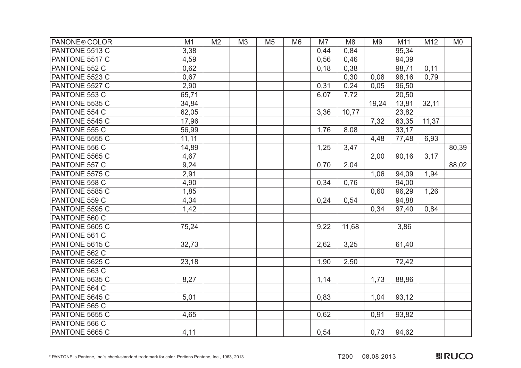| <b>PANONE® COLOR</b> | M1     | M <sub>2</sub> | M3 | M <sub>5</sub> | M <sub>6</sub> | M7   | M <sub>8</sub> | M <sub>9</sub> | M11   | M12   | M <sub>0</sub> |
|----------------------|--------|----------------|----|----------------|----------------|------|----------------|----------------|-------|-------|----------------|
| PANTONE 5513 C       | 3,38   |                |    |                |                | 0,44 | 0,84           |                | 95,34 |       |                |
| PANTONE 5517 C       | 4,59   |                |    |                |                | 0,56 | 0,46           |                | 94,39 |       |                |
| PANTONE 552 C        | 0,62   |                |    |                |                | 0,18 | 0,38           |                | 98,71 | 0,11  |                |
| PANTONE 5523 C       | 0,67   |                |    |                |                |      | 0,30           | 0,08           | 98,16 | 0,79  |                |
| PANTONE 5527 C       | 2,90   |                |    |                |                | 0,31 | 0,24           | 0,05           | 96,50 |       |                |
| PANTONE 553 C        | 65,71  |                |    |                |                | 6,07 | 7,72           |                | 20,50 |       |                |
| PANTONE 5535 C       | 34,84  |                |    |                |                |      |                | 19,24          | 13,81 | 32,11 |                |
| PANTONE 554 C        | 62,05  |                |    |                |                | 3,36 | 10,77          |                | 23,82 |       |                |
| PANTONE 5545 C       | 17,96  |                |    |                |                |      |                | 7,32           | 63,35 | 11,37 |                |
| PANTONE 555 C        | 56,99  |                |    |                |                | 1,76 | 8,08           |                | 33,17 |       |                |
| PANTONE 5555 C       | 11, 11 |                |    |                |                |      |                | 4,48           | 77,48 | 6,93  |                |
| PANTONE 556 C        | 14,89  |                |    |                |                | 1,25 | 3,47           |                |       |       | 80,39          |
| PANTONE 5565 C       | 4,67   |                |    |                |                |      |                | 2,00           | 90,16 | 3,17  |                |
| <b>PANTONE 557 C</b> | 9,24   |                |    |                |                | 0,70 | 2,04           |                |       |       | 88,02          |
| PANTONE 5575 C       | 2,91   |                |    |                |                |      |                | 1,06           | 94,09 | 1,94  |                |
| PANTONE 558 C        | 4,90   |                |    |                |                | 0,34 | 0,76           |                | 94,00 |       |                |
| PANTONE 5585 C       | 1,85   |                |    |                |                |      |                | 0,60           | 96,29 | 1,26  |                |
| PANTONE 559 C        | 4,34   |                |    |                |                | 0,24 | 0,54           |                | 94,88 |       |                |
| PANTONE 5595 C       | 1,42   |                |    |                |                |      |                | 0,34           | 97,40 | 0,84  |                |
| PANTONE 560 C        |        |                |    |                |                |      |                |                |       |       |                |
| PANTONE 5605 C       | 75,24  |                |    |                |                | 9,22 | 11,68          |                | 3,86  |       |                |
| PANTONE 561 C        |        |                |    |                |                |      |                |                |       |       |                |
| PANTONE 5615 C       | 32,73  |                |    |                |                | 2,62 | 3,25           |                | 61,40 |       |                |
| PANTONE 562 C        |        |                |    |                |                |      |                |                |       |       |                |
| PANTONE 5625 C       | 23,18  |                |    |                |                | 1,90 | 2,50           |                | 72,42 |       |                |
| PANTONE 563 C        |        |                |    |                |                |      |                |                |       |       |                |
| PANTONE 5635 C       | 8,27   |                |    |                |                | 1,14 |                | 1,73           | 88,86 |       |                |
| PANTONE 564 C        |        |                |    |                |                |      |                |                |       |       |                |
| PANTONE 5645 C       | 5,01   |                |    |                |                | 0,83 |                | 1,04           | 93,12 |       |                |
| PANTONE 565 C        |        |                |    |                |                |      |                |                |       |       |                |
| PANTONE 5655 C       | 4,65   |                |    |                |                | 0,62 |                | 0,91           | 93,82 |       |                |
| PANTONE 566 C        |        |                |    |                |                |      |                |                |       |       |                |
| PANTONE 5665 C       | 4,11   |                |    |                |                | 0,54 |                | 0,73           | 94,62 |       |                |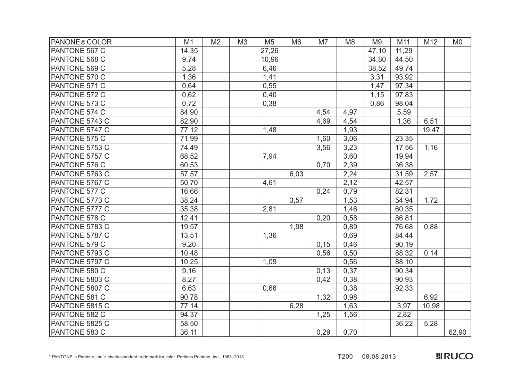| PANONE® COLOR  | M1     | M <sub>2</sub> | M <sub>3</sub> | M <sub>5</sub> | M <sub>6</sub> | M7   | M <sub>8</sub> | M <sub>9</sub> | M11   | M12   | M <sub>0</sub> |
|----------------|--------|----------------|----------------|----------------|----------------|------|----------------|----------------|-------|-------|----------------|
| PANTONE 567 C  | 14,35  |                |                | 27,26          |                |      |                | 47,10          | 11,29 |       |                |
| PANTONE 568 C  | 9,74   |                |                | 10,96          |                |      |                | 34,80          | 44,50 |       |                |
| PANTONE 569 C  | 5,28   |                |                | 6,46           |                |      |                | 38,52          | 49,74 |       |                |
| PANTONE 570 C  | 1,36   |                |                | 1,41           |                |      |                | 3,31           | 93,92 |       |                |
| PANTONE 571 C  | 0,64   |                |                | 0,55           |                |      |                | 1,47           | 97,34 |       |                |
| PANTONE 572 C  | 0,62   |                |                | 0,40           |                |      |                | 1,15           | 97,83 |       |                |
| PANTONE 573 C  | 0,72   |                |                | 0,38           |                |      |                | 0,86           | 98,04 |       |                |
| PANTONE 574 C  | 84,90  |                |                |                |                | 4,54 | 4,97           |                | 5,59  |       |                |
| PANTONE 5743 C | 82,90  |                |                |                |                | 4,69 | 4,54           |                | 1,36  | 6,51  |                |
| PANTONE 5747 C | 77,12  |                |                | 1,48           |                |      | 1,93           |                |       | 19,47 |                |
| PANTONE 575 C  | 71,99  |                |                |                |                | 1,60 | 3,06           |                | 23,35 |       |                |
| PANTONE 5753 C | 74,49  |                |                |                |                | 3,56 | 3,23           |                | 17,56 | 1,16  |                |
| PANTONE 5757 C | 68,52  |                |                | 7,94           |                |      | 3,60           |                | 19,94 |       |                |
| PANTONE 576 C  | 60,53  |                |                |                |                | 0,70 | 2,39           |                | 36,38 |       |                |
| PANTONE 5763 C | 57,57  |                |                |                | 6,03           |      | 2,24           |                | 31,59 | 2,57  |                |
| PANTONE 5767 C | 50,70  |                |                | 4,61           |                |      | 2,12           |                | 42,57 |       |                |
| PANTONE 577 C  | 16,66  |                |                |                |                | 0,24 | 0,79           |                | 82,31 |       |                |
| PANTONE 5773 C | 38,24  |                |                |                | 3,57           |      | 1,53           |                | 54,94 | 1,72  |                |
| PANTONE 5777 C | 35,38  |                |                | 2,81           |                |      | 1,46           |                | 60,35 |       |                |
| PANTONE 578 C  | 12,41  |                |                |                |                | 0,20 | 0,58           |                | 86,81 |       |                |
| PANTONE 5783 C | 19,57  |                |                |                | 1,98           |      | 0,89           |                | 76,68 | 0,88  |                |
| PANTONE 5787 C | 13,51  |                |                | 1,36           |                |      | 0,69           |                | 84,44 |       |                |
| PANTONE 579 C  | 9,20   |                |                |                |                | 0,15 | 0,46           |                | 90,19 |       |                |
| PANTONE 5793 C | 10,48  |                |                |                |                | 0,56 | 0,50           |                | 88,32 | 0,14  |                |
| PANTONE 5797 C | 10,25  |                |                | 1,09           |                |      | 0,56           |                | 88,10 |       |                |
| PANTONE 580 C  | 9,16   |                |                |                |                | 0,13 | 0,37           |                | 90,34 |       |                |
| PANTONE 5803 C | 8,27   |                |                |                |                | 0,42 | 0,38           |                | 90,93 |       |                |
| PANTONE 5807 C | 6,63   |                |                | 0,66           |                |      | 0,38           |                | 92,33 |       |                |
| PANTONE 581 C  | 90,78  |                |                |                |                | 1,32 | 0,98           |                |       | 6,92  |                |
| PANTONE 5815 C | 77,14  |                |                |                | 6,28           |      | 1,63           |                | 3,97  | 10,98 |                |
| PANTONE 582 C  | 94,37  |                |                |                |                | 1,25 | 1,56           |                | 2,82  |       |                |
| PANTONE 5825 C | 58,50  |                |                |                |                |      |                |                | 36,22 | 5,28  |                |
| PANTONE 583 C  | 36, 11 |                |                |                |                | 0,29 | 0,70           |                |       |       | 62,90          |

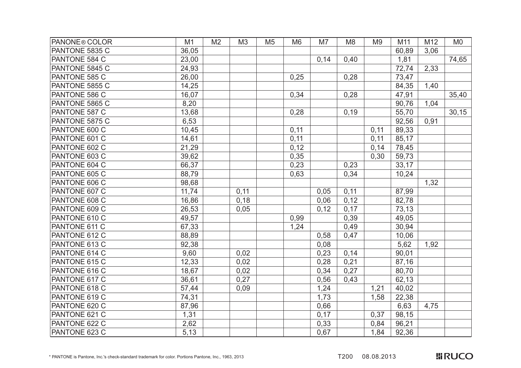| <b>PANONE® COLOR</b> | M1    | M <sub>2</sub> | M <sub>3</sub> | M <sub>5</sub> | M <sub>6</sub> | M7   | M <sub>8</sub> | M <sub>9</sub> | M11   | M12  | M <sub>0</sub> |
|----------------------|-------|----------------|----------------|----------------|----------------|------|----------------|----------------|-------|------|----------------|
| PANTONE 5835 C       | 36,05 |                |                |                |                |      |                |                | 60,89 | 3,06 |                |
| PANTONE 584 C        | 23,00 |                |                |                |                | 0,14 | 0,40           |                | 1,81  |      | 74,65          |
| PANTONE 5845 C       | 24,93 |                |                |                |                |      |                |                | 72,74 | 2,33 |                |
| PANTONE 585 C        | 26,00 |                |                |                | 0,25           |      | 0,28           |                | 73,47 |      |                |
| PANTONE 5855 C       | 14,25 |                |                |                |                |      |                |                | 84,35 | 1,40 |                |
| PANTONE 586 C        | 16,07 |                |                |                | 0,34           |      | 0,28           |                | 47,91 |      | 35,40          |
| PANTONE 5865 C       | 8,20  |                |                |                |                |      |                |                | 90,76 | 1,04 |                |
| PANTONE 587 C        | 13,68 |                |                |                | 0,28           |      | 0,19           |                | 55,70 |      | 30, 15         |
| PANTONE 5875 C       | 6,53  |                |                |                |                |      |                |                | 92,56 | 0,91 |                |
| PANTONE 600 C        | 10,45 |                |                |                | 0,11           |      |                | 0,11           | 89,33 |      |                |
| PANTONE 601 C        | 14,61 |                |                |                | 0,11           |      |                | 0,11           | 85,17 |      |                |
| PANTONE 602 C        | 21,29 |                |                |                | 0,12           |      |                | 0,14           | 78,45 |      |                |
| PANTONE 603 C        | 39,62 |                |                |                | 0,35           |      |                | 0,30           | 59,73 |      |                |
| PANTONE 604 C        | 66,37 |                |                |                | 0,23           |      | 0,23           |                | 33,17 |      |                |
| PANTONE 605 C        | 88,79 |                |                |                | 0,63           |      | 0,34           |                | 10,24 |      |                |
| PANTONE 606 C        | 98,68 |                |                |                |                |      |                |                |       | 1,32 |                |
| PANTONE 607 C        | 11,74 |                | 0,11           |                |                | 0,05 | 0,11           |                | 87,99 |      |                |
| PANTONE 608 C        | 16,86 |                | 0,18           |                |                | 0,06 | 0,12           |                | 82,78 |      |                |
| PANTONE 609 C        | 26,53 |                | 0,05           |                |                | 0,12 | 0,17           |                | 73,13 |      |                |
| PANTONE 610 C        | 49,57 |                |                |                | 0,99           |      | 0,39           |                | 49,05 |      |                |
| PANTONE 611 C        | 67,33 |                |                |                | 1,24           |      | 0,49           |                | 30,94 |      |                |
| PANTONE 612 C        | 88,89 |                |                |                |                | 0,58 | 0,47           |                | 10,06 |      |                |
| PANTONE 613 C        | 92,38 |                |                |                |                | 0,08 |                |                | 5,62  | 1,92 |                |
| PANTONE 614 C        | 9,60  |                | 0,02           |                |                | 0,23 | 0,14           |                | 90,01 |      |                |
| PANTONE 615 C        | 12,33 |                | 0,02           |                |                | 0,28 | 0,21           |                | 87,16 |      |                |
| PANTONE 616 C        | 18,67 |                | 0,02           |                |                | 0,34 | 0,27           |                | 80,70 |      |                |
| PANTONE 617 C        | 36,61 |                | 0,27           |                |                | 0,56 | 0,43           |                | 62,13 |      |                |
| PANTONE 618 C        | 57,44 |                | 0,09           |                |                | 1,24 |                | 1,21           | 40,02 |      |                |
| PANTONE 619 C        | 74,31 |                |                |                |                | 1,73 |                | 1,58           | 22,38 |      |                |
| PANTONE 620 C        | 87,96 |                |                |                |                | 0,66 |                |                | 6,63  | 4,75 |                |
| PANTONE 621 C        | 1,31  |                |                |                |                | 0,17 |                | 0,37           | 98,15 |      |                |
| PANTONE 622 C        | 2,62  |                |                |                |                | 0,33 |                | 0,84           | 96,21 |      |                |
| PANTONE 623 C        | 5,13  |                |                |                |                | 0,67 |                | 1,84           | 92,36 |      |                |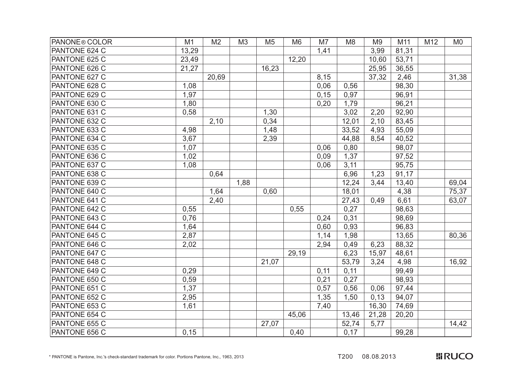| PANONE <sup>®</sup> COLOR | M1    | M <sub>2</sub> | M <sub>3</sub> | M <sub>5</sub> | M <sub>6</sub> | M7   | M <sub>8</sub> | M <sub>9</sub> | M11   | M12 | M <sub>0</sub> |
|---------------------------|-------|----------------|----------------|----------------|----------------|------|----------------|----------------|-------|-----|----------------|
| PANTONE 624 C             | 13,29 |                |                |                |                | 1,41 |                | 3,99           | 81,31 |     |                |
| PANTONE 625 C             | 23,49 |                |                |                | 12,20          |      |                | 10,60          | 53,71 |     |                |
| PANTONE 626 C             | 21,27 |                |                | 16,23          |                |      |                | 25,95          | 36,55 |     |                |
| PANTONE 627 C             |       | 20,69          |                |                |                | 8,15 |                | 37,32          | 2,46  |     | 31,38          |
| PANTONE 628 C             | 1,08  |                |                |                |                | 0,06 | 0,56           |                | 98,30 |     |                |
| PANTONE 629 C             | 1,97  |                |                |                |                | 0,15 | 0,97           |                | 96,91 |     |                |
| PANTONE 630 C             | 1,80  |                |                |                |                | 0,20 | 1,79           |                | 96,21 |     |                |
| PANTONE 631 C             | 0,58  |                |                | 1,30           |                |      | 3,02           | 2,20           | 92,90 |     |                |
| PANTONE 632 C             |       | 2,10           |                | 0,34           |                |      | 12,01          | 2,10           | 83,45 |     |                |
| PANTONE 633 C             | 4,98  |                |                | 1,48           |                |      | 33,52          | 4,93           | 55,09 |     |                |
| PANTONE 634 C             | 3,67  |                |                | 2,39           |                |      | 44,88          | 8,54           | 40,52 |     |                |
| PANTONE 635 C             | 1,07  |                |                |                |                | 0,06 | 0,80           |                | 98,07 |     |                |
| PANTONE 636 C             | 1,02  |                |                |                |                | 0,09 | 1,37           |                | 97,52 |     |                |
| PANTONE 637 C             | 1,08  |                |                |                |                | 0,06 | 3,11           |                | 95,75 |     |                |
| PANTONE 638 C             |       | 0,64           |                |                |                |      | 6,96           | 1,23           | 91,17 |     |                |
| PANTONE 639 C             |       |                | 1,88           |                |                |      | 12,24          | 3,44           | 13,40 |     | 69,04          |
| PANTONE 640 C             |       | 1,64           |                | 0,60           |                |      | 18,01          |                | 4,38  |     | 75,37          |
| PANTONE 641 C             |       | 2,40           |                |                |                |      | 27,43          | 0,49           | 6,61  |     | 63,07          |
| PANTONE 642 C             | 0,55  |                |                |                | 0,55           |      | 0,27           |                | 98,63 |     |                |
| PANTONE 643 C             | 0,76  |                |                |                |                | 0,24 | 0,31           |                | 98,69 |     |                |
| PANTONE 644 C             | 1,64  |                |                |                |                | 0,60 | 0,93           |                | 96,83 |     |                |
| PANTONE 645 C             | 2,87  |                |                |                |                | 1,14 | 1,98           |                | 13,65 |     | 80,36          |
| PANTONE 646 C             | 2,02  |                |                |                |                | 2,94 | 0,49           | 6,23           | 88,32 |     |                |
| PANTONE 647 C             |       |                |                |                | 29,19          |      | 6,23           | 15,97          | 48,61 |     |                |
| PANTONE 648 C             |       |                |                | 21,07          |                |      | 53,79          | 3,24           | 4,98  |     | 16,92          |
| PANTONE 649 C             | 0,29  |                |                |                |                | 0,11 | 0,11           |                | 99,49 |     |                |
| PANTONE 650 C             | 0,59  |                |                |                |                | 0,21 | 0,27           |                | 98,93 |     |                |
| PANTONE 651 C             | 1,37  |                |                |                |                | 0,57 | 0,56           | 0,06           | 97,44 |     |                |
| PANTONE 652 C             | 2,95  |                |                |                |                | 1,35 | 1,50           | 0,13           | 94,07 |     |                |
| PANTONE 653 C             | 1,61  |                |                |                |                | 7,40 |                | 16,30          | 74,69 |     |                |
| PANTONE 654 C             |       |                |                |                | 45,06          |      | 13,46          | 21,28          | 20,20 |     |                |
| PANTONE 655 C             |       |                |                | 27,07          |                |      | 52,74          | 5,77           |       |     | 14,42          |
| PANTONE 656 C             | 0,15  |                |                |                | 0,40           |      | 0,17           |                | 99,28 |     |                |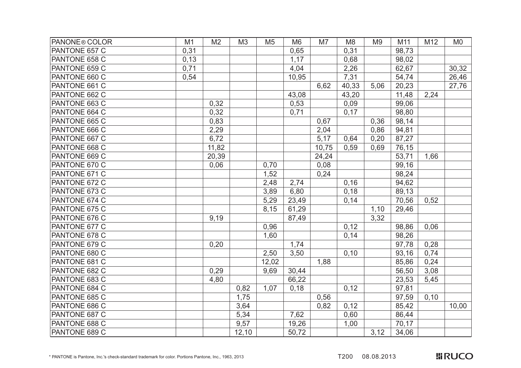| PANONE <sup>®</sup> COLOR | M1   | M <sub>2</sub> | M <sub>3</sub> | M <sub>5</sub> | M <sub>6</sub> | M7    | M <sub>8</sub> | M <sub>9</sub> | M11   | M12  | M <sub>0</sub> |
|---------------------------|------|----------------|----------------|----------------|----------------|-------|----------------|----------------|-------|------|----------------|
| PANTONE 657 C             | 0,31 |                |                |                | 0,65           |       | 0,31           |                | 98,73 |      |                |
| PANTONE 658 C             | 0,13 |                |                |                | 1,17           |       | 0,68           |                | 98,02 |      |                |
| PANTONE 659 C             | 0,71 |                |                |                | 4,04           |       | 2,26           |                | 62,67 |      | 30,32          |
| PANTONE 660 C             | 0,54 |                |                |                | 10,95          |       | 7,31           |                | 54,74 |      | 26,46          |
| PANTONE 661 C             |      |                |                |                |                | 6,62  | 40,33          | 5,06           | 20,23 |      | 27,76          |
| PANTONE 662 C             |      |                |                |                | 43,08          |       | 43,20          |                | 11,48 | 2,24 |                |
| PANTONE 663 C             |      | 0,32           |                |                | 0,53           |       | 0,09           |                | 99,06 |      |                |
| PANTONE 664 C             |      | 0,32           |                |                | 0,71           |       | 0,17           |                | 98,80 |      |                |
| PANTONE 665 C             |      | 0,83           |                |                |                | 0,67  |                | 0,36           | 98,14 |      |                |
| PANTONE 666 C             |      | 2,29           |                |                |                | 2,04  |                | 0,86           | 94,81 |      |                |
| PANTONE 667 C             |      | 6,72           |                |                |                | 5,17  | 0,64           | 0,20           | 87,27 |      |                |
| PANTONE 668 C             |      | 11,82          |                |                |                | 10,75 | 0,59           | 0,69           | 76,15 |      |                |
| PANTONE 669 C             |      | 20,39          |                |                |                | 24,24 |                |                | 53,71 | 1,66 |                |
| PANTONE 670 C             |      | 0,06           |                | 0,70           |                | 0,08  |                |                | 99,16 |      |                |
| PANTONE 671 C             |      |                |                | 1,52           |                | 0,24  |                |                | 98,24 |      |                |
| PANTONE 672 C             |      |                |                | 2,48           | 2,74           |       | 0, 16          |                | 94,62 |      |                |
| PANTONE 673 C             |      |                |                | 3,89           | 6,80           |       | 0,18           |                | 89,13 |      |                |
| PANTONE 674 C             |      |                |                | 5,29           | 23,49          |       | 0,14           |                | 70,56 | 0,52 |                |
| PANTONE 675 C             |      |                |                | 8,15           | 61,29          |       |                | 1,10           | 29,46 |      |                |
| PANTONE 676 C             |      | 9,19           |                |                | 87,49          |       |                | 3,32           |       |      |                |
| PANTONE 677 C             |      |                |                | 0,96           |                |       | 0,12           |                | 98,86 | 0,06 |                |
| PANTONE 678 C             |      |                |                | 1,60           |                |       | 0,14           |                | 98,26 |      |                |
| PANTONE 679 C             |      | 0,20           |                |                | 1,74           |       |                |                | 97,78 | 0,28 |                |
| PANTONE 680 C             |      |                |                | 2,50           | 3,50           |       | 0, 10          |                | 93,16 | 0,74 |                |
| PANTONE 681 C             |      |                |                | 12,02          |                | 1,88  |                |                | 85,86 | 0,24 |                |
| PANTONE 682 C             |      | 0,29           |                | 9,69           | 30,44          |       |                |                | 56,50 | 3,08 |                |
| PANTONE 683 C             |      | 4,80           |                |                | 66,22          |       |                |                | 23,53 | 5,45 |                |
| PANTONE 684 C             |      |                | 0,82           | 1,07           | 0,18           |       | 0,12           |                | 97,81 |      |                |
| PANTONE 685 C             |      |                | 1,75           |                |                | 0,56  |                |                | 97,59 | 0,10 |                |
| PANTONE 686 C             |      |                | 3,64           |                |                | 0,82  | 0,12           |                | 85,42 |      | 10,00          |
| PANTONE 687 C             |      |                | 5,34           |                | 7,62           |       | 0,60           |                | 86,44 |      |                |
| PANTONE 688 C             |      |                | 9,57           |                | 19,26          |       | 1,00           |                | 70,17 |      |                |
| PANTONE 689 C             |      |                | 12,10          |                | 50,72          |       |                | 3,12           | 34,06 |      |                |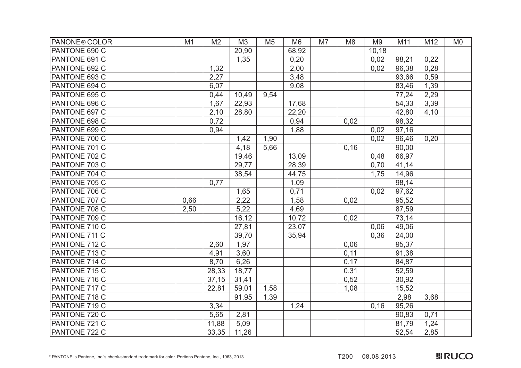| PANONE <sup>®</sup> COLOR | M1   | M <sub>2</sub> | M3     | M <sub>5</sub> | M <sub>6</sub> | M7 | M <sub>8</sub> | M <sub>9</sub> | M11   | M12  | M <sub>0</sub> |
|---------------------------|------|----------------|--------|----------------|----------------|----|----------------|----------------|-------|------|----------------|
| PANTONE 690 C             |      |                | 20,90  |                | 68,92          |    |                | 10,18          |       |      |                |
| PANTONE 691 C             |      |                | 1,35   |                | 0,20           |    |                | 0,02           | 98,21 | 0,22 |                |
| PANTONE 692 C             |      | 1,32           |        |                | 2,00           |    |                | 0,02           | 96,38 | 0,28 |                |
| PANTONE 693 C             |      | 2,27           |        |                | 3,48           |    |                |                | 93,66 | 0,59 |                |
| PANTONE 694 C             |      | 6,07           |        |                | 9,08           |    |                |                | 83,46 | 1,39 |                |
| PANTONE 695 C             |      | 0,44           | 10,49  | 9,54           |                |    |                |                | 77,24 | 2,29 |                |
| PANTONE 696 C             |      | 1,67           | 22,93  |                | 17,68          |    |                |                | 54,33 | 3,39 |                |
| PANTONE 697 C             |      | 2,10           | 28,80  |                | 22,20          |    |                |                | 42,80 | 4,10 |                |
| PANTONE 698 C             |      | 0,72           |        |                | 0,94           |    | 0,02           |                | 98,32 |      |                |
| PANTONE 699 C             |      | 0,94           |        |                | 1,88           |    |                | 0,02           | 97,16 |      |                |
| PANTONE 700 C             |      |                | 1,42   | 1,90           |                |    |                | 0,02           | 96,46 | 0,20 |                |
| PANTONE 701 C             |      |                | 4,18   | 5,66           |                |    | 0, 16          |                | 90,00 |      |                |
| PANTONE 702 C             |      |                | 19,46  |                | 13,09          |    |                | 0,48           | 66,97 |      |                |
| PANTONE 703 C             |      |                | 29,77  |                | 28,39          |    |                | 0,70           | 41,14 |      |                |
| PANTONE 704 C             |      |                | 38,54  |                | 44,75          |    |                | 1,75           | 14,96 |      |                |
| PANTONE 705 C             |      | 0,77           |        |                | 1,09           |    |                |                | 98,14 |      |                |
| PANTONE 706 C             |      |                | 1,65   |                | 0,71           |    |                | 0,02           | 97,62 |      |                |
| PANTONE 707 C             | 0,66 |                | 2,22   |                | 1,58           |    | 0,02           |                | 95,52 |      |                |
| PANTONE 708 C             | 2,50 |                | 5,22   |                | 4,69           |    |                |                | 87,59 |      |                |
| PANTONE 709 C             |      |                | 16, 12 |                | 10,72          |    | 0,02           |                | 73,14 |      |                |
| PANTONE 710 C             |      |                | 27,81  |                | 23,07          |    |                | 0,06           | 49,06 |      |                |
| PANTONE 711 C             |      |                | 39,70  |                | 35,94          |    |                | 0,36           | 24,00 |      |                |
| PANTONE 712 C             |      | 2,60           | 1,97   |                |                |    | 0,06           |                | 95,37 |      |                |
| PANTONE 713 C             |      | 4,91           | 3,60   |                |                |    | 0,11           |                | 91,38 |      |                |
| PANTONE 714 C             |      | 8,70           | 6,26   |                |                |    | 0,17           |                | 84,87 |      |                |
| PANTONE 715 C             |      | 28,33          | 18,77  |                |                |    | 0,31           |                | 52,59 |      |                |
| PANTONE 716 C             |      | 37,15          | 31,41  |                |                |    | 0,52           |                | 30,92 |      |                |
| PANTONE 717 C             |      | 22,81          | 59,01  | 1,58           |                |    | 1,08           |                | 15,52 |      |                |
| PANTONE 718 C             |      |                | 91,95  | 1,39           |                |    |                |                | 2,98  | 3,68 |                |
| PANTONE 719 C             |      | 3,34           |        |                | 1,24           |    |                | 0,16           | 95,26 |      |                |
| PANTONE 720 C             |      | 5,65           | 2,81   |                |                |    |                |                | 90,83 | 0,71 |                |
| PANTONE 721 C             |      | 11,88          | 5,09   |                |                |    |                |                | 81,79 | 1,24 |                |
| PANTONE 722 C             |      | 33,35          | 11,26  |                |                |    |                |                | 52,54 | 2,85 |                |

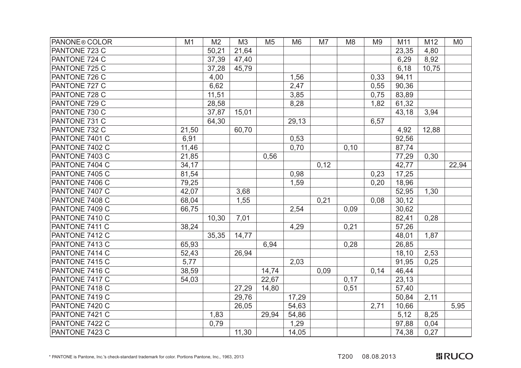| PANONE <sup>®</sup> COLOR | M1    | M <sub>2</sub> | M3    | M <sub>5</sub> | M <sub>6</sub> | M7   | M <sub>8</sub> | M <sub>9</sub> | M11   | M12   | M <sub>0</sub> |
|---------------------------|-------|----------------|-------|----------------|----------------|------|----------------|----------------|-------|-------|----------------|
| PANTONE 723 C             |       | 50,21          | 21,64 |                |                |      |                |                | 23,35 | 4,80  |                |
| PANTONE 724 C             |       | 37,39          | 47,40 |                |                |      |                |                | 6,29  | 8,92  |                |
| PANTONE 725 C             |       | 37,28          | 45,79 |                |                |      |                |                | 6,18  | 10,75 |                |
| PANTONE 726 C             |       | 4,00           |       |                | 1,56           |      |                | 0,33           | 94,11 |       |                |
| PANTONE 727 C             |       | 6,62           |       |                | 2,47           |      |                | 0,55           | 90,36 |       |                |
| PANTONE 728 C             |       | 11,51          |       |                | 3,85           |      |                | 0,75           | 83,89 |       |                |
| PANTONE 729 C             |       | 28,58          |       |                | 8,28           |      |                | 1,82           | 61,32 |       |                |
| PANTONE 730 C             |       | 37,87          | 15,01 |                |                |      |                |                | 43,18 | 3,94  |                |
| PANTONE 731 C             |       | 64,30          |       |                | 29,13          |      |                | 6,57           |       |       |                |
| PANTONE 732 C             | 21,50 |                | 60,70 |                |                |      |                |                | 4,92  | 12,88 |                |
| PANTONE 7401 C            | 6,91  |                |       |                | 0,53           |      |                |                | 92,56 |       |                |
| PANTONE 7402 C            | 11,46 |                |       |                | 0,70           |      | 0, 10          |                | 87,74 |       |                |
| PANTONE 7403 C            | 21,85 |                |       | 0,56           |                |      |                |                | 77,29 | 0,30  |                |
| PANTONE 7404 C            | 34,17 |                |       |                |                | 0,12 |                |                | 42,77 |       | 22,94          |
| PANTONE 7405 C            | 81,54 |                |       |                | 0,98           |      |                | 0,23           | 17,25 |       |                |
| PANTONE 7406 C            | 79,25 |                |       |                | 1,59           |      |                | 0,20           | 18,96 |       |                |
| PANTONE 7407 C            | 42,07 |                | 3,68  |                |                |      |                |                | 52,95 | 1,30  |                |
| PANTONE 7408 C            | 68,04 |                | 1,55  |                |                | 0,21 |                | 0,08           | 30,12 |       |                |
| PANTONE 7409 C            | 66,75 |                |       |                | 2,54           |      | 0,09           |                | 30,62 |       |                |
| PANTONE 7410 C            |       | 10,30          | 7,01  |                |                |      |                |                | 82,41 | 0,28  |                |
| PANTONE 7411 C            | 38,24 |                |       |                | 4,29           |      | 0,21           |                | 57,26 |       |                |
| PANTONE 7412 C            |       | 35,35          | 14,77 |                |                |      |                |                | 48,01 | 1,87  |                |
| PANTONE 7413 C            | 65,93 |                |       | 6,94           |                |      | 0,28           |                | 26,85 |       |                |
| PANTONE 7414 C            | 52,43 |                | 26,94 |                |                |      |                |                | 18,10 | 2,53  |                |
| PANTONE 7415 C            | 5,77  |                |       |                | 2,03           |      |                |                | 91,95 | 0,25  |                |
| PANTONE 7416 C            | 38,59 |                |       | 14,74          |                | 0,09 |                | 0,14           | 46,44 |       |                |
| PANTONE 7417 C            | 54,03 |                |       | 22,67          |                |      | 0,17           |                | 23,13 |       |                |
| PANTONE 7418 C            |       |                | 27,29 | 14,80          |                |      | 0,51           |                | 57,40 |       |                |
| PANTONE 7419 C            |       |                | 29,76 |                | 17,29          |      |                |                | 50,84 | 2,11  |                |
| PANTONE 7420 C            |       |                | 26,05 |                | 54,63          |      |                | 2,71           | 10,66 |       | 5,95           |
| PANTONE 7421 C            |       | 1,83           |       | 29,94          | 54,86          |      |                |                | 5,12  | 8,25  |                |
| PANTONE 7422 C            |       | 0,79           |       |                | 1,29           |      |                |                | 97,88 | 0,04  |                |
| PANTONE 7423 C            |       |                | 11,30 |                | 14,05          |      |                |                | 74,38 | 0,27  |                |

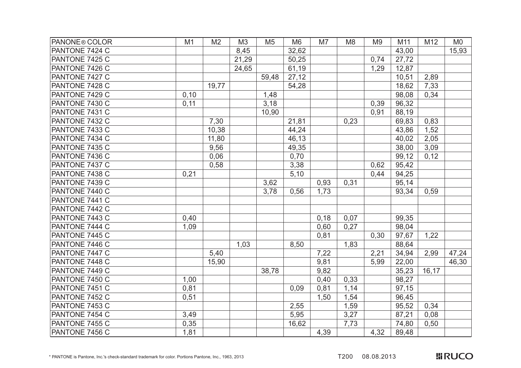| <b>PANONE® COLOR</b> | M1   | M <sub>2</sub> | M3    | M <sub>5</sub> | M <sub>6</sub> | M7   | M <sub>8</sub> | M <sub>9</sub> | M11   | M12   | M <sub>0</sub> |
|----------------------|------|----------------|-------|----------------|----------------|------|----------------|----------------|-------|-------|----------------|
| PANTONE 7424 C       |      |                | 8,45  |                | 32,62          |      |                |                | 43,00 |       | 15,93          |
| PANTONE 7425 C       |      |                | 21,29 |                | 50,25          |      |                | 0,74           | 27,72 |       |                |
| PANTONE 7426 C       |      |                | 24,65 |                | 61,19          |      |                | 1,29           | 12,87 |       |                |
| PANTONE 7427 C       |      |                |       | 59,48          | 27,12          |      |                |                | 10,51 | 2,89  |                |
| PANTONE 7428 C       |      | 19,77          |       |                | 54,28          |      |                |                | 18,62 | 7,33  |                |
| PANTONE 7429 C       | 0,10 |                |       | 1,48           |                |      |                |                | 98,08 | 0,34  |                |
| PANTONE 7430 C       | 0,11 |                |       | 3,18           |                |      |                | 0,39           | 96,32 |       |                |
| PANTONE 7431 C       |      |                |       | 10,90          |                |      |                | 0,91           | 88,19 |       |                |
| PANTONE 7432 C       |      | 7,30           |       |                | 21,81          |      | 0,23           |                | 69,83 | 0,83  |                |
| PANTONE 7433 C       |      | 10,38          |       |                | 44,24          |      |                |                | 43,86 | 1,52  |                |
| PANTONE 7434 C       |      | 11,80          |       |                | 46,13          |      |                |                | 40,02 | 2,05  |                |
| PANTONE 7435 C       |      | 9,56           |       |                | 49,35          |      |                |                | 38,00 | 3,09  |                |
| PANTONE 7436 C       |      | 0,06           |       |                | 0,70           |      |                |                | 99,12 | 0,12  |                |
| PANTONE 7437 C       |      | 0,58           |       |                | 3,38           |      |                | 0,62           | 95,42 |       |                |
| PANTONE 7438 C       | 0,21 |                |       |                | 5,10           |      |                | 0,44           | 94,25 |       |                |
| PANTONE 7439 C       |      |                |       | 3,62           |                | 0,93 | 0,31           |                | 95,14 |       |                |
| PANTONE 7440 C       |      |                |       | 3,78           | 0,56           | 1,73 |                |                | 93,34 | 0,59  |                |
| PANTONE 7441 C       |      |                |       |                |                |      |                |                |       |       |                |
| PANTONE 7442 C       |      |                |       |                |                |      |                |                |       |       |                |
| PANTONE 7443 C       | 0,40 |                |       |                |                | 0,18 | 0,07           |                | 99,35 |       |                |
| PANTONE 7444 C       | 1,09 |                |       |                |                | 0,60 | 0,27           |                | 98,04 |       |                |
| PANTONE 7445 C       |      |                |       |                |                | 0,81 |                | 0.30           | 97,67 | 1,22  |                |
| PANTONE 7446 C       |      |                | 1,03  |                | 8,50           |      | 1,83           |                | 88,64 |       |                |
| PANTONE 7447 C       |      | 5,40           |       |                |                | 7,22 |                | 2,21           | 34,94 | 2,99  | 47,24          |
| PANTONE 7448 C       |      | 15,90          |       |                |                | 9,81 |                | 5,99           | 22,00 |       | 46,30          |
| PANTONE 7449 C       |      |                |       | 38,78          |                | 9,82 |                |                | 35,23 | 16,17 |                |
| PANTONE 7450 C       | 1,00 |                |       |                |                | 0,40 | 0,33           |                | 98,27 |       |                |
| PANTONE 7451 C       | 0,81 |                |       |                | 0.09           | 0,81 | 1,14           |                | 97,15 |       |                |
| PANTONE 7452 C       | 0,51 |                |       |                |                | 1,50 | 1,54           |                | 96,45 |       |                |
| PANTONE 7453 C       |      |                |       |                | 2,55           |      | 1,59           |                | 95,52 | 0,34  |                |
| PANTONE 7454 C       | 3,49 |                |       |                | 5,95           |      | 3,27           |                | 87,21 | 0,08  |                |
| PANTONE 7455 C       | 0,35 |                |       |                | 16,62          |      | 7,73           |                | 74,80 | 0,50  |                |
| PANTONE 7456 C       | 1,81 |                |       |                |                | 4,39 |                | 4,32           | 89,48 |       |                |

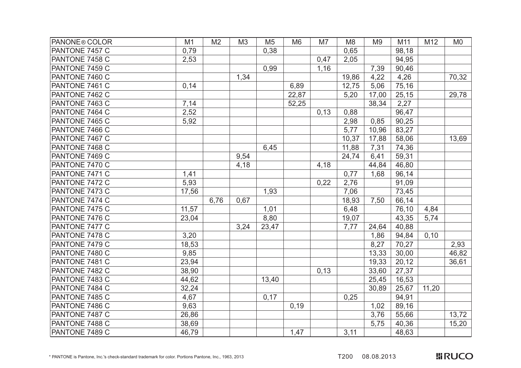| PANONE <sup>®</sup> COLOR | M1    | M <sub>2</sub> | M <sub>3</sub> | M <sub>5</sub> | M <sub>6</sub> | M7   | M <sub>8</sub> | M <sub>9</sub> | M11   | M12   | M <sub>0</sub> |
|---------------------------|-------|----------------|----------------|----------------|----------------|------|----------------|----------------|-------|-------|----------------|
| PANTONE 7457 C            | 0,79  |                |                | 0,38           |                |      | 0,65           |                | 98,18 |       |                |
| PANTONE 7458 C            | 2,53  |                |                |                |                | 0,47 | 2,05           |                | 94,95 |       |                |
| PANTONE 7459 C            |       |                |                | 0,99           |                | 1,16 |                | 7,39           | 90,46 |       |                |
| PANTONE 7460 C            |       |                | 1,34           |                |                |      | 19,86          | 4,22           | 4,26  |       | 70,32          |
| PANTONE 7461 C            | 0,14  |                |                |                | 6,89           |      | 12,75          | 5,06           | 75,16 |       |                |
| PANTONE 7462 C            |       |                |                |                | 22,87          |      | 5,20           | 17,00          | 25,15 |       | 29,78          |
| PANTONE 7463 C            | 7,14  |                |                |                | 52,25          |      |                | 38,34          | 2,27  |       |                |
| PANTONE 7464 C            | 2,52  |                |                |                |                | 0,13 | 0,88           |                | 96,47 |       |                |
| PANTONE 7465 C            | 5,92  |                |                |                |                |      | 2,98           | 0,85           | 90,25 |       |                |
| PANTONE 7466 C            |       |                |                |                |                |      | 5,77           | 10,96          | 83,27 |       |                |
| PANTONE 7467 C            |       |                |                |                |                |      | 10,37          | 17,88          | 58,06 |       | 13,69          |
| PANTONE 7468 C            |       |                |                | 6,45           |                |      | 11,88          | 7,31           | 74,36 |       |                |
| PANTONE 7469 C            |       |                | 9,54           |                |                |      | 24,74          | 6,41           | 59,31 |       |                |
| PANTONE 7470 C            |       |                | 4,18           |                |                | 4,18 |                | 44,84          | 46,80 |       |                |
| PANTONE 7471 C            | 1,41  |                |                |                |                |      | 0,77           | 1,68           | 96,14 |       |                |
| PANTONE 7472 C            | 5,93  |                |                |                |                | 0,22 | 2,76           |                | 91,09 |       |                |
| PANTONE 7473 C            | 17,56 |                |                | 1,93           |                |      | 7,06           |                | 73,45 |       |                |
| PANTONE 7474 C            |       | 6,76           | 0,67           |                |                |      | 18,93          | 7,50           | 66,14 |       |                |
| PANTONE 7475 C            | 11,57 |                |                | 1,01           |                |      | 6,48           |                | 76,10 | 4,84  |                |
| PANTONE 7476 C            | 23,04 |                |                | 8,80           |                |      | 19,07          |                | 43,35 | 5,74  |                |
| PANTONE 7477 C            |       |                | 3,24           | 23,47          |                |      | 7,77           | 24,64          | 40,88 |       |                |
| PANTONE 7478 C            | 3,20  |                |                |                |                |      |                | 1,86           | 94,84 | 0,10  |                |
| PANTONE 7479 C            | 18,53 |                |                |                |                |      |                | 8,27           | 70,27 |       | 2,93           |
| PANTONE 7480 C            | 9,85  |                |                |                |                |      |                | 13,33          | 30,00 |       | 46,82          |
| PANTONE 7481 C            | 23,94 |                |                |                |                |      |                | 19,33          | 20,12 |       | 36,61          |
| PANTONE 7482 C            | 38,90 |                |                |                |                | 0,13 |                | 33,60          | 27,37 |       |                |
| PANTONE 7483 C            | 44,62 |                |                | 13,40          |                |      |                | 25,45          | 16,53 |       |                |
| PANTONE 7484 C            | 32,24 |                |                |                |                |      |                | 30,89          | 25,67 | 11,20 |                |
| PANTONE 7485 C            | 4,67  |                |                | 0,17           |                |      | 0,25           |                | 94,91 |       |                |
| PANTONE 7486 C            | 9,63  |                |                |                | 0,19           |      |                | 1,02           | 89,16 |       |                |
| PANTONE 7487 C            | 26,86 |                |                |                |                |      |                | 3,76           | 55,66 |       | 13,72          |
| PANTONE 7488 C            | 38,69 |                |                |                |                |      |                | 5,75           | 40,36 |       | 15,20          |
| PANTONE 7489 C            | 46,79 |                |                |                | 1,47           |      | 3,11           |                | 48,63 |       |                |

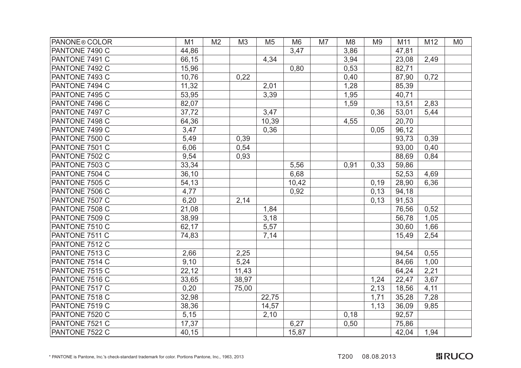| PANONE <sup>®</sup> COLOR | M1    | M <sub>2</sub> | M3    | M <sub>5</sub> | M <sub>6</sub> | M7 | M <sub>8</sub> | M <sub>9</sub> | M11   | M12  | M <sub>0</sub> |
|---------------------------|-------|----------------|-------|----------------|----------------|----|----------------|----------------|-------|------|----------------|
| PANTONE 7490 C            | 44,86 |                |       |                | 3,47           |    | 3,86           |                | 47,81 |      |                |
| PANTONE 7491 C            | 66,15 |                |       | 4,34           |                |    | 3,94           |                | 23,08 | 2,49 |                |
| PANTONE 7492 C            | 15,96 |                |       |                | 0,80           |    | 0,53           |                | 82,71 |      |                |
| PANTONE 7493 C            | 10,76 |                | 0,22  |                |                |    | 0,40           |                | 87,90 | 0,72 |                |
| PANTONE 7494 C            | 11,32 |                |       | 2,01           |                |    | 1,28           |                | 85,39 |      |                |
| PANTONE 7495 C            | 53,95 |                |       | 3,39           |                |    | 1,95           |                | 40,71 |      |                |
| PANTONE 7496 C            | 82,07 |                |       |                |                |    | 1,59           |                | 13,51 | 2,83 |                |
| PANTONE 7497 C            | 37,72 |                |       | 3,47           |                |    |                | 0,36           | 53,01 | 5,44 |                |
| PANTONE 7498 C            | 64,36 |                |       | 10,39          |                |    | 4,55           |                | 20,70 |      |                |
| PANTONE 7499 C            | 3,47  |                |       | 0,36           |                |    |                | 0,05           | 96,12 |      |                |
| PANTONE 7500 C            | 5,49  |                | 0,39  |                |                |    |                |                | 93,73 | 0,39 |                |
| PANTONE 7501 C            | 6,06  |                | 0,54  |                |                |    |                |                | 93,00 | 0,40 |                |
| PANTONE 7502 C            | 9,54  |                | 0,93  |                |                |    |                |                | 88,69 | 0,84 |                |
| PANTONE 7503 C            | 33,34 |                |       |                | 5,56           |    | 0,91           | 0,33           | 59,86 |      |                |
| PANTONE 7504 C            | 36,10 |                |       |                | 6,68           |    |                |                | 52,53 | 4,69 |                |
| PANTONE 7505 C            | 54,13 |                |       |                | 10,42          |    |                | 0,19           | 28,90 | 6,36 |                |
| PANTONE 7506 C            | 4,77  |                |       |                | 0,92           |    |                | 0,13           | 94,18 |      |                |
| PANTONE 7507 C            | 6,20  |                | 2,14  |                |                |    |                | 0,13           | 91,53 |      |                |
| PANTONE 7508 C            | 21,08 |                |       | 1,84           |                |    |                |                | 76,56 | 0,52 |                |
| PANTONE 7509 C            | 38,99 |                |       | 3,18           |                |    |                |                | 56,78 | 1,05 |                |
| PANTONE 7510 C            | 62,17 |                |       | 5,57           |                |    |                |                | 30,60 | 1,66 |                |
| PANTONE 7511 C            | 74,83 |                |       | 7,14           |                |    |                |                | 15,49 | 2,54 |                |
| PANTONE 7512 C            |       |                |       |                |                |    |                |                |       |      |                |
| PANTONE 7513 C            | 2,66  |                | 2,25  |                |                |    |                |                | 94,54 | 0,55 |                |
| PANTONE 7514 C            | 9,10  |                | 5,24  |                |                |    |                |                | 84,66 | 1,00 |                |
| PANTONE 7515 C            | 22,12 |                | 11,43 |                |                |    |                |                | 64,24 | 2,21 |                |
| PANTONE 7516 C            | 33,65 |                | 38,97 |                |                |    |                | 1,24           | 22,47 | 3,67 |                |
| PANTONE 7517 C            | 0,20  |                | 75,00 |                |                |    |                | 2,13           | 18,56 | 4,11 |                |
| PANTONE 7518 C            | 32,98 |                |       | 22,75          |                |    |                | 1,71           | 35,28 | 7,28 |                |
| PANTONE 7519 C            | 38,36 |                |       | 14,57          |                |    |                | 1,13           | 36,09 | 9,85 |                |
| PANTONE 7520 C            | 5,15  |                |       | 2,10           |                |    | 0,18           |                | 92,57 |      |                |
| PANTONE 7521 C            | 17,37 |                |       |                | 6,27           |    | 0,50           |                | 75,86 |      |                |
| PANTONE 7522 C            | 40,15 |                |       |                | 15,87          |    |                |                | 42,04 | 1,94 |                |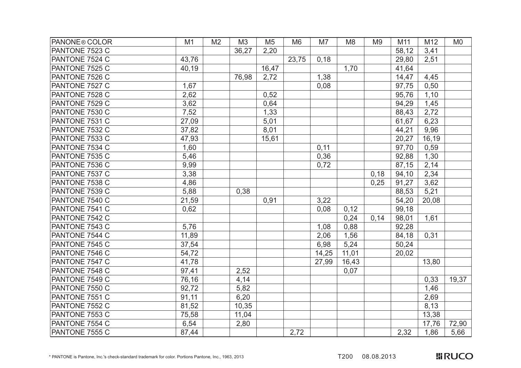| PANONE <sup>®</sup> COLOR | M1    | M <sub>2</sub> | M3    | M <sub>5</sub> | M <sub>6</sub> | M7    | M <sub>8</sub> | M <sub>9</sub> | M11   | M12   | M <sub>0</sub> |
|---------------------------|-------|----------------|-------|----------------|----------------|-------|----------------|----------------|-------|-------|----------------|
| PANTONE 7523 C            |       |                | 36,27 | 2,20           |                |       |                |                | 58,12 | 3,41  |                |
| PANTONE 7524 C            | 43,76 |                |       |                | 23,75          | 0,18  |                |                | 29,80 | 2,51  |                |
| PANTONE 7525 C            | 40,19 |                |       | 16,47          |                |       | 1,70           |                | 41,64 |       |                |
| PANTONE 7526 C            |       |                | 76,98 | 2,72           |                | 1,38  |                |                | 14,47 | 4,45  |                |
| PANTONE 7527 C            | 1,67  |                |       |                |                | 0,08  |                |                | 97,75 | 0,50  |                |
| PANTONE 7528 C            | 2,62  |                |       | 0,52           |                |       |                |                | 95,76 | 1,10  |                |
| PANTONE 7529 C            | 3,62  |                |       | 0,64           |                |       |                |                | 94,29 | 1,45  |                |
| PANTONE 7530 C            | 7,52  |                |       | 1,33           |                |       |                |                | 88,43 | 2,72  |                |
| PANTONE 7531 C            | 27,09 |                |       | 5,01           |                |       |                |                | 61,67 | 6,23  |                |
| PANTONE 7532 C            | 37,82 |                |       | 8,01           |                |       |                |                | 44,21 | 9,96  |                |
| PANTONE 7533 C            | 47,93 |                |       | 15,61          |                |       |                |                | 20,27 | 16,19 |                |
| PANTONE 7534 C            | 1,60  |                |       |                |                | 0,11  |                |                | 97,70 | 0,59  |                |
| PANTONE 7535 C            | 5,46  |                |       |                |                | 0,36  |                |                | 92,88 | 1,30  |                |
| PANTONE 7536 C            | 9,99  |                |       |                |                | 0,72  |                |                | 87,15 | 2,14  |                |
| PANTONE 7537 C            | 3,38  |                |       |                |                |       |                | 0,18           | 94,10 | 2,34  |                |
| PANTONE 7538 C            | 4,86  |                |       |                |                |       |                | 0,25           | 91,27 | 3,62  |                |
| PANTONE 7539 C            | 5,88  |                | 0,38  |                |                |       |                |                | 88,53 | 5,21  |                |
| PANTONE 7540 C            | 21,59 |                |       | 0,91           |                | 3,22  |                |                | 54,20 | 20,08 |                |
| PANTONE 7541 C            | 0,62  |                |       |                |                | 0,08  | 0,12           |                | 99,18 |       |                |
| PANTONE 7542 C            |       |                |       |                |                |       | 0,24           | 0,14           | 98,01 | 1,61  |                |
| PANTONE 7543 C            | 5,76  |                |       |                |                | 1,08  | 0,88           |                | 92,28 |       |                |
| PANTONE 7544 C            | 11,89 |                |       |                |                | 2,06  | 1,56           |                | 84,18 | 0,31  |                |
| PANTONE 7545 C            | 37,54 |                |       |                |                | 6,98  | 5,24           |                | 50,24 |       |                |
| PANTONE 7546 C            | 54,72 |                |       |                |                | 14,25 | 11,01          |                | 20,02 |       |                |
| PANTONE 7547 C            | 41,78 |                |       |                |                | 27,99 | 16,43          |                |       | 13,80 |                |
| PANTONE 7548 C            | 97,41 |                | 2,52  |                |                |       | 0,07           |                |       |       |                |
| PANTONE 7549 C            | 76,16 |                | 4,14  |                |                |       |                |                |       | 0,33  | 19,37          |
| PANTONE 7550 C            | 92,72 |                | 5,82  |                |                |       |                |                |       | 1,46  |                |
| PANTONE 7551 C            | 91,11 |                | 6,20  |                |                |       |                |                |       | 2,69  |                |
| PANTONE 7552 C            | 81,52 |                | 10,35 |                |                |       |                |                |       | 8,13  |                |
| PANTONE 7553 C            | 75,58 |                | 11,04 |                |                |       |                |                |       | 13,38 |                |
| PANTONE 7554 C            | 6,54  |                | 2,80  |                |                |       |                |                |       | 17,76 | 72,90          |
| PANTONE 7555 C            | 87,44 |                |       |                | 2,72           |       |                |                | 2,32  | 1,86  | 5,66           |

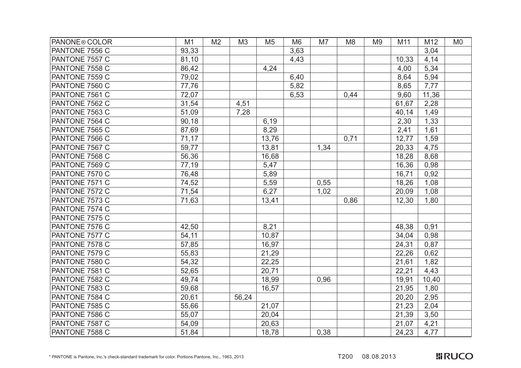| PANONE <sup>®</sup> COLOR | M1    | M <sub>2</sub> | M <sub>3</sub> | M <sub>5</sub> | M <sub>6</sub> | M7   | M <sub>8</sub> | M <sub>9</sub> | M11   | M12   | M <sub>0</sub> |
|---------------------------|-------|----------------|----------------|----------------|----------------|------|----------------|----------------|-------|-------|----------------|
| PANTONE 7556 C            | 93,33 |                |                |                | 3,63           |      |                |                |       | 3,04  |                |
| PANTONE 7557 C            | 81,10 |                |                |                | 4,43           |      |                |                | 10,33 | 4,14  |                |
| PANTONE 7558 C            | 86,42 |                |                | 4,24           |                |      |                |                | 4,00  | 5,34  |                |
| PANTONE 7559 C            | 79,02 |                |                |                | 6,40           |      |                |                | 8,64  | 5,94  |                |
| PANTONE 7560 C            | 77,76 |                |                |                | 5,82           |      |                |                | 8,65  | 7,77  |                |
| PANTONE 7561 C            | 72,07 |                |                |                | 6,53           |      | 0,44           |                | 9,60  | 11,36 |                |
| PANTONE 7562 C            | 31,54 |                | 4,51           |                |                |      |                |                | 61,67 | 2,28  |                |
| PANTONE 7563 C            | 51,09 |                | 7,28           |                |                |      |                |                | 40,14 | 1,49  |                |
| PANTONE 7564 C            | 90,18 |                |                | 6,19           |                |      |                |                | 2,30  | 1,33  |                |
| PANTONE 7565 C            | 87,69 |                |                | 8,29           |                |      |                |                | 2,41  | 1,61  |                |
| PANTONE 7566 C            | 71,17 |                |                | 13,76          |                |      | 0,71           |                | 12,77 | 1,59  |                |
| PANTONE 7567 C            | 59,77 |                |                | 13,81          |                | 1,34 |                |                | 20,33 | 4,75  |                |
| PANTONE 7568 C            | 56,36 |                |                | 16,68          |                |      |                |                | 18,28 | 8,68  |                |
| PANTONE 7569 C            | 77,19 |                |                | 5,47           |                |      |                |                | 16,36 | 0,98  |                |
| PANTONE 7570 C            | 76,48 |                |                | 5,89           |                |      |                |                | 16,71 | 0,92  |                |
| PANTONE 7571 C            | 74,52 |                |                | 5,59           |                | 0,55 |                |                | 18,26 | 1,08  |                |
| PANTONE 7572 C            | 71,54 |                |                | 6,27           |                | 1,02 |                |                | 20,09 | 1,08  |                |
| PANTONE 7573 C            | 71,63 |                |                | 13,41          |                |      | 0,86           |                | 12,30 | 1,80  |                |
| PANTONE 7574 C            |       |                |                |                |                |      |                |                |       |       |                |
| PANTONE 7575 C            |       |                |                |                |                |      |                |                |       |       |                |
| PANTONE 7576 C            | 42,50 |                |                | 8,21           |                |      |                |                | 48,38 | 0,91  |                |
| PANTONE 7577 C            | 54,11 |                |                | 10,87          |                |      |                |                | 34,04 | 0,98  |                |
| PANTONE 7578 C            | 57,85 |                |                | 16,97          |                |      |                |                | 24,31 | 0,87  |                |
| PANTONE 7579 C            | 55,83 |                |                | 21,29          |                |      |                |                | 22,26 | 0,62  |                |
| PANTONE 7580 C            | 54,32 |                |                | 22,25          |                |      |                |                | 21,61 | 1,82  |                |
| PANTONE 7581 C            | 52,65 |                |                | 20,71          |                |      |                |                | 22,21 | 4,43  |                |
| PANTONE 7582 C            | 49,74 |                |                | 18,99          |                | 0,96 |                |                | 19,91 | 10,40 |                |
| PANTONE 7583 C            | 59,68 |                |                | 16,57          |                |      |                |                | 21,95 | 1,80  |                |
| PANTONE 7584 C            | 20,61 |                | 56,24          |                |                |      |                |                | 20,20 | 2,95  |                |
| PANTONE 7585 C            | 55,66 |                |                | 21,07          |                |      |                |                | 21,23 | 2,04  |                |
| PANTONE 7586 C            | 55,07 |                |                | 20,04          |                |      |                |                | 21,39 | 3,50  |                |
| PANTONE 7587 C            | 54,09 |                |                | 20,63          |                |      |                |                | 21,07 | 4,21  |                |
| PANTONE 7588 C            | 51,84 |                |                | 18,78          |                | 0,38 |                |                | 24,23 | 4,77  |                |

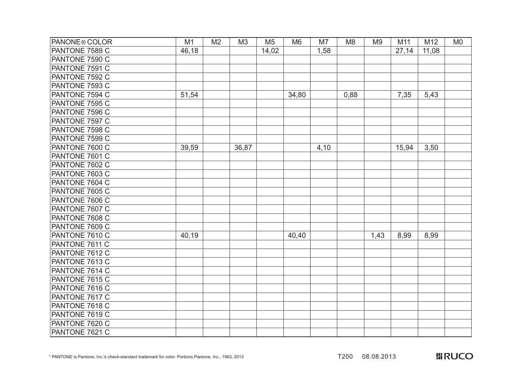| <b>PANONE® COLOR</b> | M1    | M <sub>2</sub> | M <sub>3</sub> | M <sub>5</sub> | M <sub>6</sub> | M7   | M <sub>8</sub> | M <sub>9</sub> | M11   | M12   | M <sub>0</sub> |
|----------------------|-------|----------------|----------------|----------------|----------------|------|----------------|----------------|-------|-------|----------------|
| PANTONE 7589 C       | 46,18 |                |                | 14,02          |                | 1,58 |                |                | 27,14 | 11,08 |                |
| PANTONE 7590 C       |       |                |                |                |                |      |                |                |       |       |                |
| PANTONE 7591 C       |       |                |                |                |                |      |                |                |       |       |                |
| PANTONE 7592 C       |       |                |                |                |                |      |                |                |       |       |                |
| PANTONE 7593 C       |       |                |                |                |                |      |                |                |       |       |                |
| PANTONE 7594 C       | 51,54 |                |                |                | 34,80          |      | 0,88           |                | 7,35  | 5,43  |                |
| PANTONE 7595 C       |       |                |                |                |                |      |                |                |       |       |                |
| PANTONE 7596 C       |       |                |                |                |                |      |                |                |       |       |                |
| PANTONE 7597 C       |       |                |                |                |                |      |                |                |       |       |                |
| PANTONE 7598 C       |       |                |                |                |                |      |                |                |       |       |                |
| PANTONE 7599 C       |       |                |                |                |                |      |                |                |       |       |                |
| PANTONE 7600 C       | 39,59 |                | 36,87          |                |                | 4,10 |                |                | 15,94 | 3,50  |                |
| PANTONE 7601 C       |       |                |                |                |                |      |                |                |       |       |                |
| PANTONE 7602 C       |       |                |                |                |                |      |                |                |       |       |                |
| PANTONE 7603 C       |       |                |                |                |                |      |                |                |       |       |                |
| PANTONE 7604 C       |       |                |                |                |                |      |                |                |       |       |                |
| PANTONE 7605 C       |       |                |                |                |                |      |                |                |       |       |                |
| PANTONE 7606 C       |       |                |                |                |                |      |                |                |       |       |                |
| PANTONE 7607 C       |       |                |                |                |                |      |                |                |       |       |                |
| PANTONE 7608 C       |       |                |                |                |                |      |                |                |       |       |                |
| PANTONE 7609 C       |       |                |                |                |                |      |                |                |       |       |                |
| PANTONE 7610 C       | 40,19 |                |                |                | 40,40          |      |                | 1,43           | 8,99  | 8,99  |                |
| PANTONE 7611 C       |       |                |                |                |                |      |                |                |       |       |                |
| PANTONE 7612 C       |       |                |                |                |                |      |                |                |       |       |                |
| PANTONE 7613 C       |       |                |                |                |                |      |                |                |       |       |                |
| PANTONE 7614 C       |       |                |                |                |                |      |                |                |       |       |                |
| PANTONE 7615 C       |       |                |                |                |                |      |                |                |       |       |                |
| PANTONE 7616 C       |       |                |                |                |                |      |                |                |       |       |                |
| PANTONE 7617 C       |       |                |                |                |                |      |                |                |       |       |                |
| PANTONE 7618 C       |       |                |                |                |                |      |                |                |       |       |                |
| PANTONE 7619 C       |       |                |                |                |                |      |                |                |       |       |                |
| PANTONE 7620 C       |       |                |                |                |                |      |                |                |       |       |                |
| PANTONE 7621 C       |       |                |                |                |                |      |                |                |       |       |                |

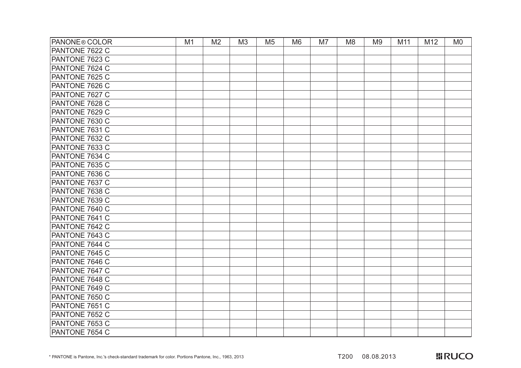| <b>PANONE® COLOR</b> | M1 | M <sub>2</sub> | M <sub>3</sub> | M <sub>5</sub> | M <sub>6</sub> | M7 | M <sub>8</sub> | M <sub>9</sub> | M11 | M12 | M <sub>0</sub> |
|----------------------|----|----------------|----------------|----------------|----------------|----|----------------|----------------|-----|-----|----------------|
| PANTONE 7622 C       |    |                |                |                |                |    |                |                |     |     |                |
| PANTONE 7623 C       |    |                |                |                |                |    |                |                |     |     |                |
| PANTONE 7624 C       |    |                |                |                |                |    |                |                |     |     |                |
| PANTONE 7625 C       |    |                |                |                |                |    |                |                |     |     |                |
| PANTONE 7626 C       |    |                |                |                |                |    |                |                |     |     |                |
| PANTONE 7627 C       |    |                |                |                |                |    |                |                |     |     |                |
| PANTONE 7628 C       |    |                |                |                |                |    |                |                |     |     |                |
| PANTONE 7629 C       |    |                |                |                |                |    |                |                |     |     |                |
| PANTONE 7630 C       |    |                |                |                |                |    |                |                |     |     |                |
| PANTONE 7631 C       |    |                |                |                |                |    |                |                |     |     |                |
| PANTONE 7632 C       |    |                |                |                |                |    |                |                |     |     |                |
| PANTONE 7633 C       |    |                |                |                |                |    |                |                |     |     |                |
| PANTONE 7634 C       |    |                |                |                |                |    |                |                |     |     |                |
| PANTONE 7635 C       |    |                |                |                |                |    |                |                |     |     |                |
| PANTONE 7636 C       |    |                |                |                |                |    |                |                |     |     |                |
| PANTONE 7637 C       |    |                |                |                |                |    |                |                |     |     |                |
| PANTONE 7638 C       |    |                |                |                |                |    |                |                |     |     |                |
| PANTONE 7639 C       |    |                |                |                |                |    |                |                |     |     |                |
| PANTONE 7640 C       |    |                |                |                |                |    |                |                |     |     |                |
| PANTONE 7641 C       |    |                |                |                |                |    |                |                |     |     |                |
| PANTONE 7642 C       |    |                |                |                |                |    |                |                |     |     |                |
| PANTONE 7643 C       |    |                |                |                |                |    |                |                |     |     |                |
| PANTONE 7644 C       |    |                |                |                |                |    |                |                |     |     |                |
| PANTONE 7645 C       |    |                |                |                |                |    |                |                |     |     |                |
| PANTONE 7646 C       |    |                |                |                |                |    |                |                |     |     |                |
| PANTONE 7647 C       |    |                |                |                |                |    |                |                |     |     |                |
| PANTONE 7648 C       |    |                |                |                |                |    |                |                |     |     |                |
| PANTONE 7649 C       |    |                |                |                |                |    |                |                |     |     |                |
| PANTONE 7650 C       |    |                |                |                |                |    |                |                |     |     |                |
| PANTONE 7651 C       |    |                |                |                |                |    |                |                |     |     |                |
| PANTONE 7652 C       |    |                |                |                |                |    |                |                |     |     |                |
| PANTONE 7653 C       |    |                |                |                |                |    |                |                |     |     |                |
| PANTONE 7654 C       |    |                |                |                |                |    |                |                |     |     |                |

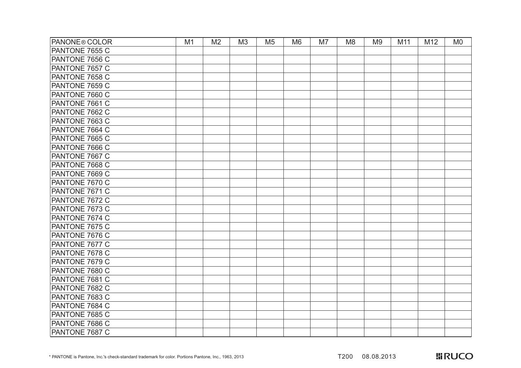| <b>PANONE® COLOR</b>  | M1 | M <sub>2</sub> | M <sub>3</sub> | M <sub>5</sub> | M <sub>6</sub> | M7 | M <sub>8</sub> | M <sub>9</sub> | M11 | M12 | M <sub>0</sub> |
|-----------------------|----|----------------|----------------|----------------|----------------|----|----------------|----------------|-----|-----|----------------|
| PANTONE 7655 C        |    |                |                |                |                |    |                |                |     |     |                |
| PANTONE 7656 C        |    |                |                |                |                |    |                |                |     |     |                |
| PANTONE 7657 C        |    |                |                |                |                |    |                |                |     |     |                |
| PANTONE 7658 C        |    |                |                |                |                |    |                |                |     |     |                |
| PANTONE 7659 C        |    |                |                |                |                |    |                |                |     |     |                |
| PANTONE 7660 C        |    |                |                |                |                |    |                |                |     |     |                |
| PANTONE 7661 C        |    |                |                |                |                |    |                |                |     |     |                |
| PANTONE 7662 C        |    |                |                |                |                |    |                |                |     |     |                |
| PANTONE 7663 C        |    |                |                |                |                |    |                |                |     |     |                |
| PANTONE 7664 C        |    |                |                |                |                |    |                |                |     |     |                |
| PANTONE 7665 C        |    |                |                |                |                |    |                |                |     |     |                |
| PANTONE 7666 C        |    |                |                |                |                |    |                |                |     |     |                |
| PANTONE 7667 C        |    |                |                |                |                |    |                |                |     |     |                |
| PANTONE 7668 C        |    |                |                |                |                |    |                |                |     |     |                |
| PANTONE 7669 C        |    |                |                |                |                |    |                |                |     |     |                |
| PANTONE 7670 C        |    |                |                |                |                |    |                |                |     |     |                |
| PANTONE 7671 C        |    |                |                |                |                |    |                |                |     |     |                |
| PANTONE 7672 C        |    |                |                |                |                |    |                |                |     |     |                |
| PANTONE 7673 C        |    |                |                |                |                |    |                |                |     |     |                |
| PANTONE 7674 C        |    |                |                |                |                |    |                |                |     |     |                |
| PANTONE 7675 C        |    |                |                |                |                |    |                |                |     |     |                |
| PANTONE 7676 C        |    |                |                |                |                |    |                |                |     |     |                |
| PANTONE 7677 C        |    |                |                |                |                |    |                |                |     |     |                |
| <b>PANTONE 7678 C</b> |    |                |                |                |                |    |                |                |     |     |                |
| PANTONE 7679 C        |    |                |                |                |                |    |                |                |     |     |                |
| PANTONE 7680 C        |    |                |                |                |                |    |                |                |     |     |                |
| PANTONE 7681 C        |    |                |                |                |                |    |                |                |     |     |                |
| PANTONE 7682 C        |    |                |                |                |                |    |                |                |     |     |                |
| PANTONE 7683 C        |    |                |                |                |                |    |                |                |     |     |                |
| PANTONE 7684 C        |    |                |                |                |                |    |                |                |     |     |                |
| PANTONE 7685 C        |    |                |                |                |                |    |                |                |     |     |                |
| PANTONE 7686 C        |    |                |                |                |                |    |                |                |     |     |                |
| PANTONE 7687 C        |    |                |                |                |                |    |                |                |     |     |                |

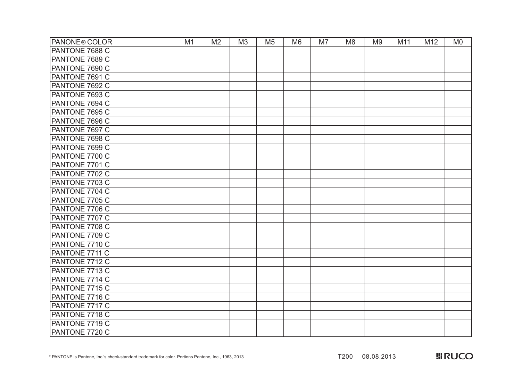| <b>PANONE® COLOR</b> | M1 | M <sub>2</sub> | M <sub>3</sub> | M <sub>5</sub> | M <sub>6</sub> | M7 | M <sub>8</sub> | M <sub>9</sub> | M11 | M12 | M <sub>0</sub> |
|----------------------|----|----------------|----------------|----------------|----------------|----|----------------|----------------|-----|-----|----------------|
| PANTONE 7688 C       |    |                |                |                |                |    |                |                |     |     |                |
| PANTONE 7689 C       |    |                |                |                |                |    |                |                |     |     |                |
| PANTONE 7690 C       |    |                |                |                |                |    |                |                |     |     |                |
| PANTONE 7691 C       |    |                |                |                |                |    |                |                |     |     |                |
| PANTONE 7692 C       |    |                |                |                |                |    |                |                |     |     |                |
| PANTONE 7693 C       |    |                |                |                |                |    |                |                |     |     |                |
| PANTONE 7694 C       |    |                |                |                |                |    |                |                |     |     |                |
| PANTONE 7695 C       |    |                |                |                |                |    |                |                |     |     |                |
| PANTONE 7696 C       |    |                |                |                |                |    |                |                |     |     |                |
| PANTONE 7697 C       |    |                |                |                |                |    |                |                |     |     |                |
| PANTONE 7698 C       |    |                |                |                |                |    |                |                |     |     |                |
| PANTONE 7699 C       |    |                |                |                |                |    |                |                |     |     |                |
| PANTONE 7700 C       |    |                |                |                |                |    |                |                |     |     |                |
| PANTONE 7701 C       |    |                |                |                |                |    |                |                |     |     |                |
| PANTONE 7702 C       |    |                |                |                |                |    |                |                |     |     |                |
| PANTONE 7703 C       |    |                |                |                |                |    |                |                |     |     |                |
| PANTONE 7704 C       |    |                |                |                |                |    |                |                |     |     |                |
| PANTONE 7705 C       |    |                |                |                |                |    |                |                |     |     |                |
| PANTONE 7706 C       |    |                |                |                |                |    |                |                |     |     |                |
| PANTONE 7707 C       |    |                |                |                |                |    |                |                |     |     |                |
| PANTONE 7708 C       |    |                |                |                |                |    |                |                |     |     |                |
| PANTONE 7709 C       |    |                |                |                |                |    |                |                |     |     |                |
| PANTONE 7710 C       |    |                |                |                |                |    |                |                |     |     |                |
| PANTONE 7711 C       |    |                |                |                |                |    |                |                |     |     |                |
| PANTONE 7712 C       |    |                |                |                |                |    |                |                |     |     |                |
| PANTONE 7713 C       |    |                |                |                |                |    |                |                |     |     |                |
| PANTONE 7714 C       |    |                |                |                |                |    |                |                |     |     |                |
| PANTONE 7715 C       |    |                |                |                |                |    |                |                |     |     |                |
| PANTONE 7716 C       |    |                |                |                |                |    |                |                |     |     |                |
| PANTONE 7717 C       |    |                |                |                |                |    |                |                |     |     |                |
| PANTONE 7718 C       |    |                |                |                |                |    |                |                |     |     |                |
| PANTONE 7719 C       |    |                |                |                |                |    |                |                |     |     |                |
| PANTONE 7720 C       |    |                |                |                |                |    |                |                |     |     |                |

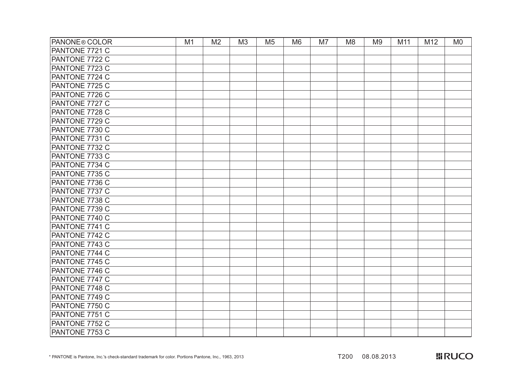| <b>PANONE® COLOR</b> | M1 | M <sub>2</sub> | M <sub>3</sub> | M <sub>5</sub> | M <sub>6</sub> | M7 | M <sub>8</sub> | M <sub>9</sub> | M11 | M12 | M <sub>0</sub> |
|----------------------|----|----------------|----------------|----------------|----------------|----|----------------|----------------|-----|-----|----------------|
| PANTONE 7721 C       |    |                |                |                |                |    |                |                |     |     |                |
| PANTONE 7722 C       |    |                |                |                |                |    |                |                |     |     |                |
| PANTONE 7723 C       |    |                |                |                |                |    |                |                |     |     |                |
| PANTONE 7724 C       |    |                |                |                |                |    |                |                |     |     |                |
| PANTONE 7725 C       |    |                |                |                |                |    |                |                |     |     |                |
| PANTONE 7726 C       |    |                |                |                |                |    |                |                |     |     |                |
| PANTONE 7727 C       |    |                |                |                |                |    |                |                |     |     |                |
| PANTONE 7728 C       |    |                |                |                |                |    |                |                |     |     |                |
| PANTONE 7729 C       |    |                |                |                |                |    |                |                |     |     |                |
| PANTONE 7730 C       |    |                |                |                |                |    |                |                |     |     |                |
| PANTONE 7731 C       |    |                |                |                |                |    |                |                |     |     |                |
| PANTONE 7732 C       |    |                |                |                |                |    |                |                |     |     |                |
| PANTONE 7733 C       |    |                |                |                |                |    |                |                |     |     |                |
| PANTONE 7734 C       |    |                |                |                |                |    |                |                |     |     |                |
| PANTONE 7735 C       |    |                |                |                |                |    |                |                |     |     |                |
| PANTONE 7736 C       |    |                |                |                |                |    |                |                |     |     |                |
| PANTONE 7737 C       |    |                |                |                |                |    |                |                |     |     |                |
| PANTONE 7738 C       |    |                |                |                |                |    |                |                |     |     |                |
| PANTONE 7739 C       |    |                |                |                |                |    |                |                |     |     |                |
| PANTONE 7740 C       |    |                |                |                |                |    |                |                |     |     |                |
| PANTONE 7741 C       |    |                |                |                |                |    |                |                |     |     |                |
| PANTONE 7742 C       |    |                |                |                |                |    |                |                |     |     |                |
| PANTONE 7743 C       |    |                |                |                |                |    |                |                |     |     |                |
| PANTONE 7744 C       |    |                |                |                |                |    |                |                |     |     |                |
| PANTONE 7745 C       |    |                |                |                |                |    |                |                |     |     |                |
| PANTONE 7746 C       |    |                |                |                |                |    |                |                |     |     |                |
| PANTONE 7747 C       |    |                |                |                |                |    |                |                |     |     |                |
| PANTONE 7748 C       |    |                |                |                |                |    |                |                |     |     |                |
| PANTONE 7749 C       |    |                |                |                |                |    |                |                |     |     |                |
| PANTONE 7750 C       |    |                |                |                |                |    |                |                |     |     |                |
| PANTONE 7751 C       |    |                |                |                |                |    |                |                |     |     |                |
| PANTONE 7752 C       |    |                |                |                |                |    |                |                |     |     |                |
| PANTONE 7753 C       |    |                |                |                |                |    |                |                |     |     |                |

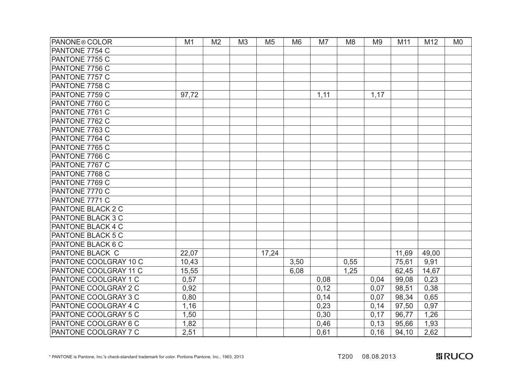| <b>PANONE® COLOR</b>        | M1    | M <sub>2</sub> | M <sub>3</sub> | M <sub>5</sub> | M <sub>6</sub> | M7   | M <sub>8</sub> | M <sub>9</sub> | M11   | M12   | M <sub>0</sub> |
|-----------------------------|-------|----------------|----------------|----------------|----------------|------|----------------|----------------|-------|-------|----------------|
| PANTONE 7754 C              |       |                |                |                |                |      |                |                |       |       |                |
| PANTONE 7755 C              |       |                |                |                |                |      |                |                |       |       |                |
| PANTONE 7756 C              |       |                |                |                |                |      |                |                |       |       |                |
| PANTONE 7757 C              |       |                |                |                |                |      |                |                |       |       |                |
| PANTONE 7758 C              |       |                |                |                |                |      |                |                |       |       |                |
| PANTONE 7759 C              | 97,72 |                |                |                |                | 1,11 |                | 1,17           |       |       |                |
| PANTONE 7760 C              |       |                |                |                |                |      |                |                |       |       |                |
| PANTONE 7761 C              |       |                |                |                |                |      |                |                |       |       |                |
| <b>PANTONE 7762 C</b>       |       |                |                |                |                |      |                |                |       |       |                |
| PANTONE 7763 C              |       |                |                |                |                |      |                |                |       |       |                |
| PANTONE 7764 C              |       |                |                |                |                |      |                |                |       |       |                |
| PANTONE 7765 C              |       |                |                |                |                |      |                |                |       |       |                |
| PANTONE 7766 C              |       |                |                |                |                |      |                |                |       |       |                |
| <b>PANTONE 7767 C</b>       |       |                |                |                |                |      |                |                |       |       |                |
| PANTONE 7768 C              |       |                |                |                |                |      |                |                |       |       |                |
| PANTONE 7769 C              |       |                |                |                |                |      |                |                |       |       |                |
| PANTONE 7770 C              |       |                |                |                |                |      |                |                |       |       |                |
| PANTONE 7771 C              |       |                |                |                |                |      |                |                |       |       |                |
| <b>PANTONE BLACK 2 C</b>    |       |                |                |                |                |      |                |                |       |       |                |
| PANTONE BLACK 3 C           |       |                |                |                |                |      |                |                |       |       |                |
| PANTONE BLACK 4 C           |       |                |                |                |                |      |                |                |       |       |                |
| <b>PANTONE BLACK 5 C</b>    |       |                |                |                |                |      |                |                |       |       |                |
| PANTONE BLACK 6 C           |       |                |                |                |                |      |                |                |       |       |                |
| <b>PANTONE BLACK C</b>      | 22,07 |                |                | 17,24          |                |      |                |                | 11,69 | 49,00 |                |
| PANTONE COOLGRAY 10 C       | 10,43 |                |                |                | 3,50           |      | 0,55           |                | 75,61 | 9,91  |                |
| PANTONE COOLGRAY 11 C       | 15,55 |                |                |                | 6,08           |      | 1,25           |                | 62,45 | 14,67 |                |
| PANTONE COOLGRAY 1 C        | 0,57  |                |                |                |                | 0,08 |                | 0,04           | 99,08 | 0,23  |                |
| PANTONE COOLGRAY 2 C        | 0,92  |                |                |                |                | 0,12 |                | 0,07           | 98,51 | 0,38  |                |
| PANTONE COOLGRAY 3 C        | 0,80  |                |                |                |                | 0,14 |                | 0,07           | 98,34 | 0,65  |                |
| PANTONE COOLGRAY 4 C        | 1,16  |                |                |                |                | 0,23 |                | 0,14           | 97,50 | 0,97  |                |
| PANTONE COOLGRAY 5 C        | 1,50  |                |                |                |                | 0,30 |                | 0,17           | 96,77 | 1,26  |                |
| <b>PANTONE COOLGRAY 6 C</b> | 1,82  |                |                |                |                | 0,46 |                | 0,13           | 95,66 | 1,93  |                |
| PANTONE COOLGRAY 7 C        | 2,51  |                |                |                |                | 0,61 |                | 0,16           | 94,10 | 2,62  |                |